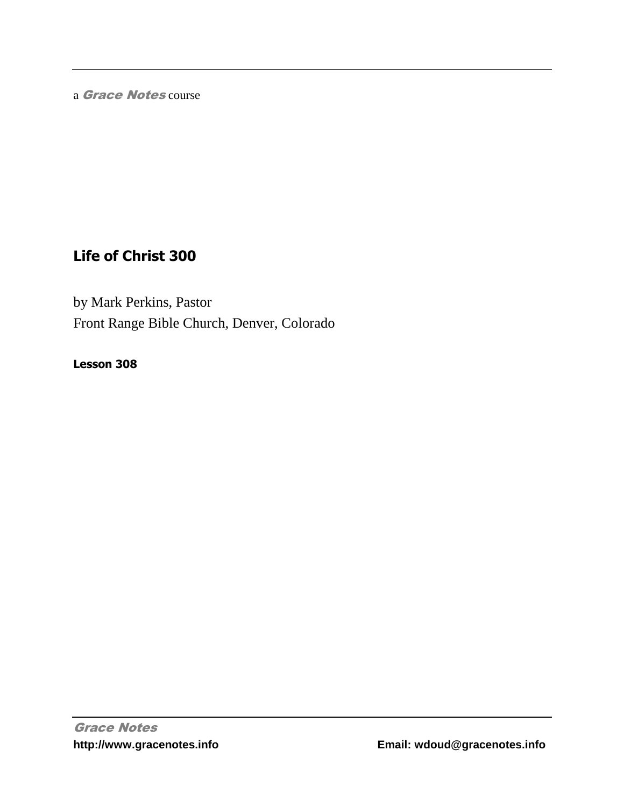a Grace Notes course

## **Life of Christ 300**

by Mark Perkins, Pastor Front Range Bible Church, Denver, Colorado

**Lesson 308**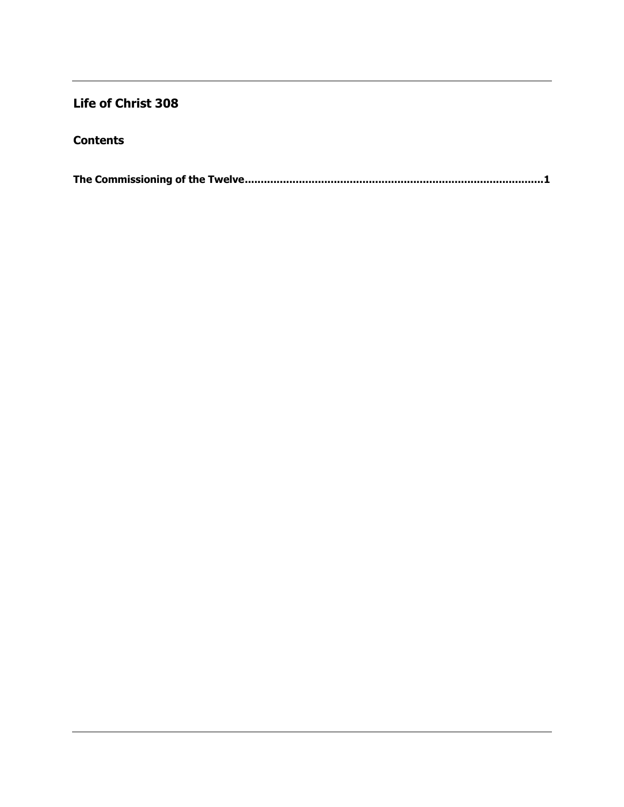## **Life of Christ 308**

## **Contents**

|--|--|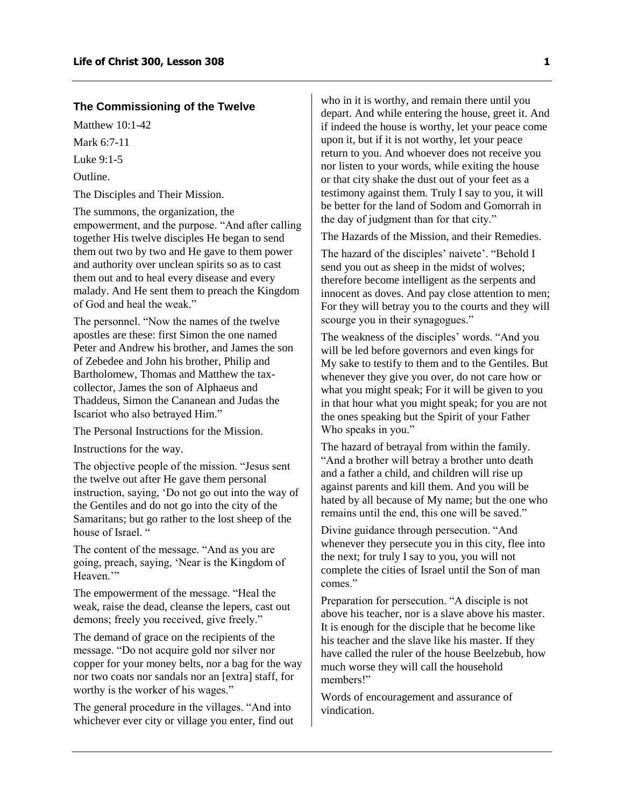## <span id="page-2-0"></span>**The Commissioning of the Twelve**

Matthew 10:1-42

Mark 6:7-11

Luke 9:1-5

Outline.

The Disciples and Their Mission.

The summons, the organization, the empowerment, and the purpose. "And after calling together His twelve disciples He began to send them out two by two and He gave to them power and authority over unclean spirits so as to cast them out and to heal every disease and every malady. And He sent them to preach the Kingdom of God and heal the weak."

The personnel. "Now the names of the twelve apostles are these: first Simon the one named Peter and Andrew his brother, and James the son of Zebedee and John his brother, Philip and Bartholomew, Thomas and Matthew the taxcollector, James the son of Alphaeus and Thaddeus, Simon the Cananean and Judas the Iscariot who also betrayed Him."

The Personal Instructions for the Mission.

Instructions for the way.

The objective people of the mission. "Jesus sent the twelve out after He gave them personal instruction, saying, 'Do not go out into the way of the Gentiles and do not go into the city of the Samaritans; but go rather to the lost sheep of the house of Israel. "

The content of the message. "And as you are going, preach, saying, 'Near is the Kingdom of Heaven."

The empowerment of the message. "Heal the weak, raise the dead, cleanse the lepers, cast out demons; freely you received, give freely."

The demand of grace on the recipients of the message. "Do not acquire gold nor silver nor copper for your money belts, nor a bag for the way nor two coats nor sandals nor an [extra] staff, for worthy is the worker of his wages."

The general procedure in the villages. "And into whichever ever city or village you enter, find out

who in it is worthy, and remain there until you depart. And while entering the house, greet it. And if indeed the house is worthy, let your peace come upon it, but if it is not worthy, let your peace return to you. And whoever does not receive you nor listen to your words, while exiting the house or that city shake the dust out of your feet as a testimony against them. Truly I say to you, it will be better for the land of Sodom and Gomorrah in the day of judgment than for that city."

The Hazards of the Mission, and their Remedies.

The hazard of the disciples' naivete'. "Behold I send you out as sheep in the midst of wolves; therefore become intelligent as the serpents and innocent as doves. And pay close attention to men; For they will betray you to the courts and they will scourge you in their synagogues."

The weakness of the disciples' words. "And you will be led before governors and even kings for My sake to testify to them and to the Gentiles. But whenever they give you over, do not care how or what you might speak; For it will be given to you in that hour what you might speak; for you are not the ones speaking but the Spirit of your Father Who speaks in you."

The hazard of betrayal from within the family. "And a brother will betray a brother unto death and a father a child, and children will rise up against parents and kill them. And you will be hated by all because of My name; but the one who remains until the end, this one will be saved."

Divine guidance through persecution. "And whenever they persecute you in this city, flee into the next; for truly I say to you, you will not complete the cities of Israel until the Son of man comes."

Preparation for persecution. "A disciple is not above his teacher, nor is a slave above his master. It is enough for the disciple that he become like his teacher and the slave like his master. If they have called the ruler of the house Beelzebub, how much worse they will call the household members!"

Words of encouragement and assurance of vindication.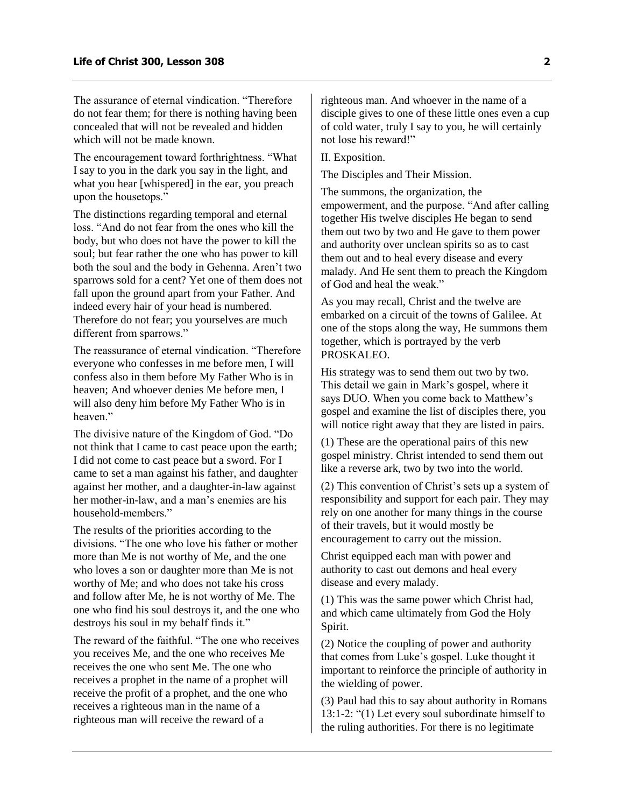The assurance of eternal vindication. "Therefore do not fear them; for there is nothing having been concealed that will not be revealed and hidden which will not be made known.

The encouragement toward forthrightness. "What I say to you in the dark you say in the light, and what you hear [whispered] in the ear, you preach upon the housetops."

The distinctions regarding temporal and eternal loss. "And do not fear from the ones who kill the body, but who does not have the power to kill the soul; but fear rather the one who has power to kill both the soul and the body in Gehenna. Aren't two sparrows sold for a cent? Yet one of them does not fall upon the ground apart from your Father. And indeed every hair of your head is numbered. Therefore do not fear; you yourselves are much different from sparrows."

The reassurance of eternal vindication. "Therefore everyone who confesses in me before men, I will confess also in them before My Father Who is in heaven: And whoever denies Me before men. I will also deny him before My Father Who is in heaven."

The divisive nature of the Kingdom of God. "Do not think that I came to cast peace upon the earth; I did not come to cast peace but a sword. For I came to set a man against his father, and daughter against her mother, and a daughter-in-law against her mother-in-law, and a man's enemies are his household-members."

The results of the priorities according to the divisions. "The one who love his father or mother more than Me is not worthy of Me, and the one who loves a son or daughter more than Me is not worthy of Me; and who does not take his cross and follow after Me, he is not worthy of Me. The one who find his soul destroys it, and the one who destroys his soul in my behalf finds it."

The reward of the faithful. "The one who receives you receives Me, and the one who receives Me receives the one who sent Me. The one who receives a prophet in the name of a prophet will receive the profit of a prophet, and the one who receives a righteous man in the name of a righteous man will receive the reward of a

righteous man. And whoever in the name of a disciple gives to one of these little ones even a cup of cold water, truly I say to you, he will certainly not lose his reward!"

II. Exposition.

The Disciples and Their Mission.

The summons, the organization, the empowerment, and the purpose. "And after calling together His twelve disciples He began to send them out two by two and He gave to them power and authority over unclean spirits so as to cast them out and to heal every disease and every malady. And He sent them to preach the Kingdom of God and heal the weak."

As you may recall, Christ and the twelve are embarked on a circuit of the towns of Galilee. At one of the stops along the way, He summons them together, which is portrayed by the verb PROSKALEO.

His strategy was to send them out two by two. This detail we gain in Mark's gospel, where it says DUO. When you come back to Matthew's gospel and examine the list of disciples there, you will notice right away that they are listed in pairs.

(1) These are the operational pairs of this new gospel ministry. Christ intended to send them out like a reverse ark, two by two into the world.

(2) This convention of Christ's sets up a system of responsibility and support for each pair. They may rely on one another for many things in the course of their travels, but it would mostly be encouragement to carry out the mission.

Christ equipped each man with power and authority to cast out demons and heal every disease and every malady.

(1) This was the same power which Christ had, and which came ultimately from God the Holy Spirit.

(2) Notice the coupling of power and authority that comes from Luke's gospel. Luke thought it important to reinforce the principle of authority in the wielding of power.

(3) Paul had this to say about authority in Romans 13:1-2: "(1) Let every soul subordinate himself to the ruling authorities. For there is no legitimate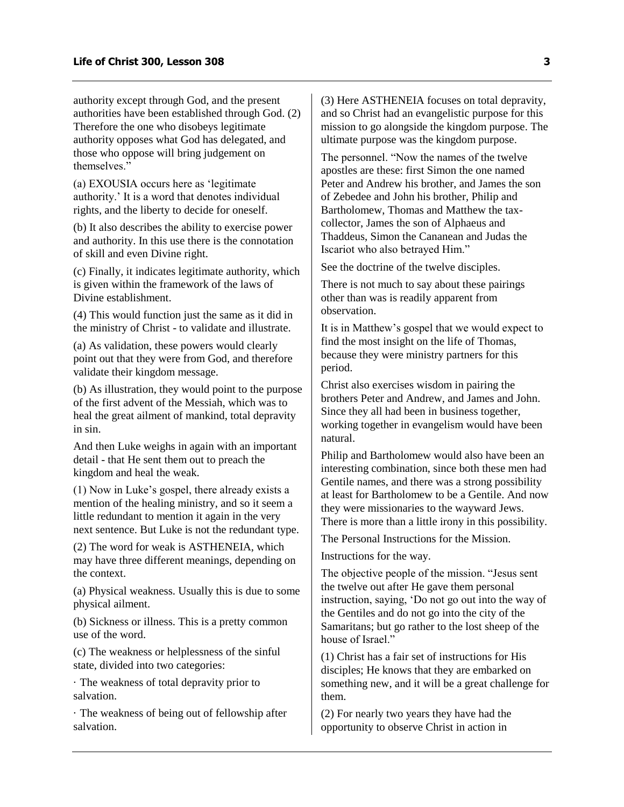authority except through God, and the present authorities have been established through God. (2) Therefore the one who disobeys legitimate authority opposes what God has delegated, and those who oppose will bring judgement on themselves."

(a) EXOUSIA occurs here as 'legitimate authority.' It is a word that denotes individual rights, and the liberty to decide for oneself.

(b) It also describes the ability to exercise power and authority. In this use there is the connotation of skill and even Divine right.

(c) Finally, it indicates legitimate authority, which is given within the framework of the laws of Divine establishment.

(4) This would function just the same as it did in the ministry of Christ - to validate and illustrate.

(a) As validation, these powers would clearly point out that they were from God, and therefore validate their kingdom message.

(b) As illustration, they would point to the purpose of the first advent of the Messiah, which was to heal the great ailment of mankind, total depravity in sin.

And then Luke weighs in again with an important detail - that He sent them out to preach the kingdom and heal the weak.

(1) Now in Luke's gospel, there already exists a mention of the healing ministry, and so it seem a little redundant to mention it again in the very next sentence. But Luke is not the redundant type.

(2) The word for weak is ASTHENEIA, which may have three different meanings, depending on the context.

(a) Physical weakness. Usually this is due to some physical ailment.

(b) Sickness or illness. This is a pretty common use of the word.

(c) The weakness or helplessness of the sinful state, divided into two categories:

· The weakness of total depravity prior to salvation.

· The weakness of being out of fellowship after salvation.

(3) Here ASTHENEIA focuses on total depravity, and so Christ had an evangelistic purpose for this mission to go alongside the kingdom purpose. The ultimate purpose was the kingdom purpose.

The personnel. "Now the names of the twelve apostles are these: first Simon the one named Peter and Andrew his brother, and James the son of Zebedee and John his brother, Philip and Bartholomew, Thomas and Matthew the taxcollector, James the son of Alphaeus and Thaddeus, Simon the Cananean and Judas the Iscariot who also betrayed Him."

See the doctrine of the twelve disciples.

There is not much to say about these pairings other than was is readily apparent from observation.

It is in Matthew's gospel that we would expect to find the most insight on the life of Thomas, because they were ministry partners for this period.

Christ also exercises wisdom in pairing the brothers Peter and Andrew, and James and John. Since they all had been in business together, working together in evangelism would have been natural.

Philip and Bartholomew would also have been an interesting combination, since both these men had Gentile names, and there was a strong possibility at least for Bartholomew to be a Gentile. And now they were missionaries to the wayward Jews. There is more than a little irony in this possibility.

The Personal Instructions for the Mission.

Instructions for the way.

The objective people of the mission. "Jesus sent the twelve out after He gave them personal instruction, saying, 'Do not go out into the way of the Gentiles and do not go into the city of the Samaritans; but go rather to the lost sheep of the house of Israel."

(1) Christ has a fair set of instructions for His disciples; He knows that they are embarked on something new, and it will be a great challenge for them.

(2) For nearly two years they have had the opportunity to observe Christ in action in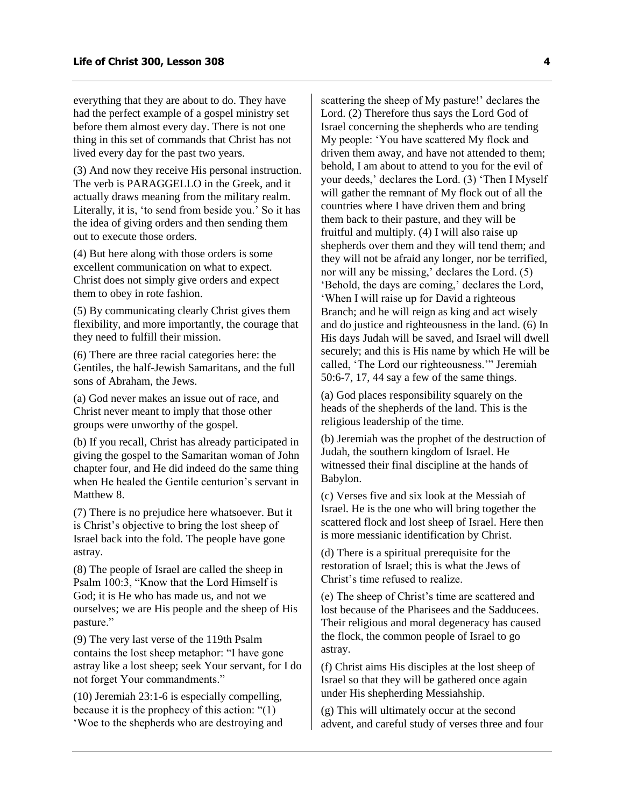everything that they are about to do. They have had the perfect example of a gospel ministry set before them almost every day. There is not one thing in this set of commands that Christ has not lived every day for the past two years.

(3) And now they receive His personal instruction. The verb is PARAGGELLO in the Greek, and it actually draws meaning from the military realm. Literally, it is, 'to send from beside you.' So it has the idea of giving orders and then sending them out to execute those orders.

(4) But here along with those orders is some excellent communication on what to expect. Christ does not simply give orders and expect them to obey in rote fashion.

(5) By communicating clearly Christ gives them flexibility, and more importantly, the courage that they need to fulfill their mission.

(6) There are three racial categories here: the Gentiles, the half-Jewish Samaritans, and the full sons of Abraham, the Jews.

(a) God never makes an issue out of race, and Christ never meant to imply that those other groups were unworthy of the gospel.

(b) If you recall, Christ has already participated in giving the gospel to the Samaritan woman of John chapter four, and He did indeed do the same thing when He healed the Gentile centurion's servant in Matthew 8.

(7) There is no prejudice here whatsoever. But it is Christ's objective to bring the lost sheep of Israel back into the fold. The people have gone astray.

(8) The people of Israel are called the sheep in Psalm 100:3, "Know that the Lord Himself is God; it is He who has made us, and not we ourselves; we are His people and the sheep of His pasture."

(9) The very last verse of the 119th Psalm contains the lost sheep metaphor: "I have gone astray like a lost sheep; seek Your servant, for I do not forget Your commandments."

(10) Jeremiah 23:1-6 is especially compelling, because it is the prophecy of this action: "(1) 'Woe to the shepherds who are destroying and scattering the sheep of My pasture!' declares the Lord. (2) Therefore thus says the Lord God of Israel concerning the shepherds who are tending My people: 'You have scattered My flock and driven them away, and have not attended to them; behold, I am about to attend to you for the evil of your deeds,' declares the Lord. (3) 'Then I Myself will gather the remnant of My flock out of all the countries where I have driven them and bring them back to their pasture, and they will be fruitful and multiply. (4) I will also raise up shepherds over them and they will tend them; and they will not be afraid any longer, nor be terrified, nor will any be missing,' declares the Lord. (5) 'Behold, the days are coming,' declares the Lord, 'When I will raise up for David a righteous Branch; and he will reign as king and act wisely and do justice and righteousness in the land. (6) In His days Judah will be saved, and Israel will dwell securely; and this is His name by which He will be called, 'The Lord our righteousness.'" Jeremiah 50:6-7, 17, 44 say a few of the same things.

(a) God places responsibility squarely on the heads of the shepherds of the land. This is the religious leadership of the time.

(b) Jeremiah was the prophet of the destruction of Judah, the southern kingdom of Israel. He witnessed their final discipline at the hands of Babylon.

(c) Verses five and six look at the Messiah of Israel. He is the one who will bring together the scattered flock and lost sheep of Israel. Here then is more messianic identification by Christ.

(d) There is a spiritual prerequisite for the restoration of Israel; this is what the Jews of Christ's time refused to realize.

(e) The sheep of Christ's time are scattered and lost because of the Pharisees and the Sadducees. Their religious and moral degeneracy has caused the flock, the common people of Israel to go astray.

(f) Christ aims His disciples at the lost sheep of Israel so that they will be gathered once again under His shepherding Messiahship.

(g) This will ultimately occur at the second advent, and careful study of verses three and four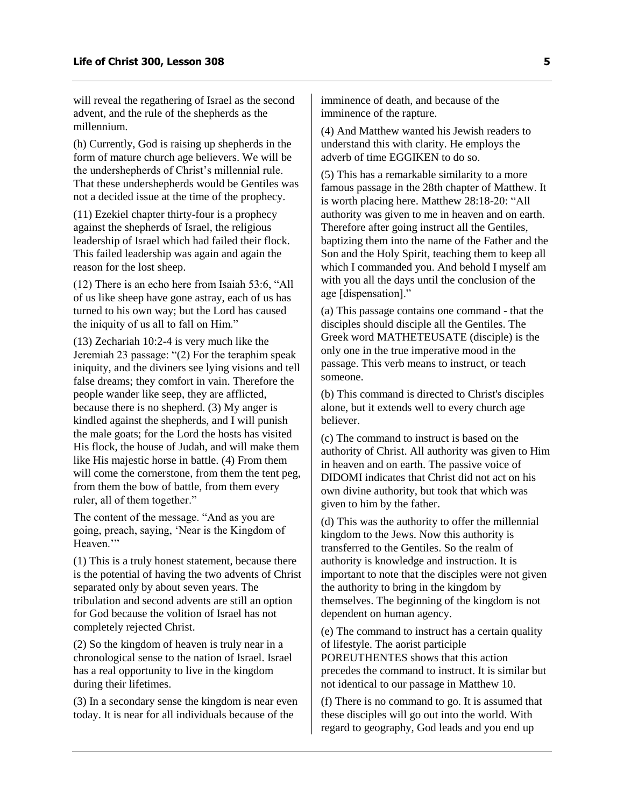will reveal the regathering of Israel as the second advent, and the rule of the shepherds as the millennium.

(h) Currently, God is raising up shepherds in the form of mature church age believers. We will be the undershepherds of Christ's millennial rule. That these undershepherds would be Gentiles was not a decided issue at the time of the prophecy.

(11) Ezekiel chapter thirty-four is a prophecy against the shepherds of Israel, the religious leadership of Israel which had failed their flock. This failed leadership was again and again the reason for the lost sheep.

(12) There is an echo here from Isaiah 53:6, "All of us like sheep have gone astray, each of us has turned to his own way; but the Lord has caused the iniquity of us all to fall on Him."

(13) Zechariah 10:2-4 is very much like the Jeremiah 23 passage: "(2) For the teraphim speak iniquity, and the diviners see lying visions and tell false dreams; they comfort in vain. Therefore the people wander like seep, they are afflicted, because there is no shepherd. (3) My anger is kindled against the shepherds, and I will punish the male goats; for the Lord the hosts has visited His flock, the house of Judah, and will make them like His majestic horse in battle. (4) From them will come the cornerstone, from them the tent peg, from them the bow of battle, from them every ruler, all of them together."

The content of the message. "And as you are going, preach, saying, 'Near is the Kingdom of Heaven."

(1) This is a truly honest statement, because there is the potential of having the two advents of Christ separated only by about seven years. The tribulation and second advents are still an option for God because the volition of Israel has not completely rejected Christ.

(2) So the kingdom of heaven is truly near in a chronological sense to the nation of Israel. Israel has a real opportunity to live in the kingdom during their lifetimes.

(3) In a secondary sense the kingdom is near even today. It is near for all individuals because of the

imminence of death, and because of the imminence of the rapture.

(4) And Matthew wanted his Jewish readers to understand this with clarity. He employs the adverb of time EGGIKEN to do so.

(5) This has a remarkable similarity to a more famous passage in the 28th chapter of Matthew. It is worth placing here. Matthew 28:18-20: "All authority was given to me in heaven and on earth. Therefore after going instruct all the Gentiles, baptizing them into the name of the Father and the Son and the Holy Spirit, teaching them to keep all which I commanded you. And behold I myself am with you all the days until the conclusion of the age [dispensation]."

(a) This passage contains one command - that the disciples should disciple all the Gentiles. The Greek word MATHETEUSATE (disciple) is the only one in the true imperative mood in the passage. This verb means to instruct, or teach someone.

(b) This command is directed to Christ's disciples alone, but it extends well to every church age believer.

(c) The command to instruct is based on the authority of Christ. All authority was given to Him in heaven and on earth. The passive voice of DIDOMI indicates that Christ did not act on his own divine authority, but took that which was given to him by the father.

(d) This was the authority to offer the millennial kingdom to the Jews. Now this authority is transferred to the Gentiles. So the realm of authority is knowledge and instruction. It is important to note that the disciples were not given the authority to bring in the kingdom by themselves. The beginning of the kingdom is not dependent on human agency.

(e) The command to instruct has a certain quality of lifestyle. The aorist participle POREUTHENTES shows that this action precedes the command to instruct. It is similar but not identical to our passage in Matthew 10.

(f) There is no command to go. It is assumed that these disciples will go out into the world. With regard to geography, God leads and you end up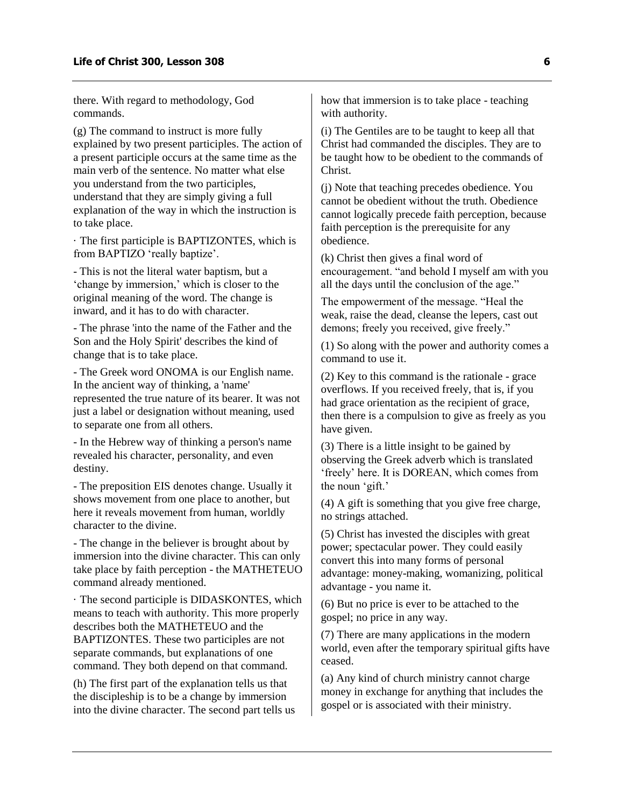there. With regard to methodology, God commands.

(g) The command to instruct is more fully explained by two present participles. The action of a present participle occurs at the same time as the main verb of the sentence. No matter what else you understand from the two participles, understand that they are simply giving a full explanation of the way in which the instruction is to take place.

· The first participle is BAPTIZONTES, which is from BAPTIZO 'really baptize'.

- This is not the literal water baptism, but a 'change by immersion,' which is closer to the original meaning of the word. The change is inward, and it has to do with character.

- The phrase 'into the name of the Father and the Son and the Holy Spirit' describes the kind of change that is to take place.

- The Greek word ONOMA is our English name. In the ancient way of thinking, a 'name' represented the true nature of its bearer. It was not just a label or designation without meaning, used to separate one from all others.

- In the Hebrew way of thinking a person's name revealed his character, personality, and even destiny.

- The preposition EIS denotes change. Usually it shows movement from one place to another, but here it reveals movement from human, worldly character to the divine.

- The change in the believer is brought about by immersion into the divine character. This can only take place by faith perception - the MATHETEUO command already mentioned.

· The second participle is DIDASKONTES, which means to teach with authority. This more properly describes both the MATHETEUO and the BAPTIZONTES. These two participles are not separate commands, but explanations of one command. They both depend on that command.

(h) The first part of the explanation tells us that the discipleship is to be a change by immersion into the divine character. The second part tells us how that immersion is to take place - teaching with authority.

(i) The Gentiles are to be taught to keep all that Christ had commanded the disciples. They are to be taught how to be obedient to the commands of Christ.

(j) Note that teaching precedes obedience. You cannot be obedient without the truth. Obedience cannot logically precede faith perception, because faith perception is the prerequisite for any obedience.

(k) Christ then gives a final word of encouragement. "and behold I myself am with you all the days until the conclusion of the age."

The empowerment of the message. "Heal the weak, raise the dead, cleanse the lepers, cast out demons; freely you received, give freely."

(1) So along with the power and authority comes a command to use it.

(2) Key to this command is the rationale - grace overflows. If you received freely, that is, if you had grace orientation as the recipient of grace, then there is a compulsion to give as freely as you have given.

(3) There is a little insight to be gained by observing the Greek adverb which is translated 'freely' here. It is DOREAN, which comes from the noun 'gift.'

(4) A gift is something that you give free charge, no strings attached.

(5) Christ has invested the disciples with great power; spectacular power. They could easily convert this into many forms of personal advantage: money-making, womanizing, political advantage - you name it.

(6) But no price is ever to be attached to the gospel; no price in any way.

(7) There are many applications in the modern world, even after the temporary spiritual gifts have ceased.

(a) Any kind of church ministry cannot charge money in exchange for anything that includes the gospel or is associated with their ministry.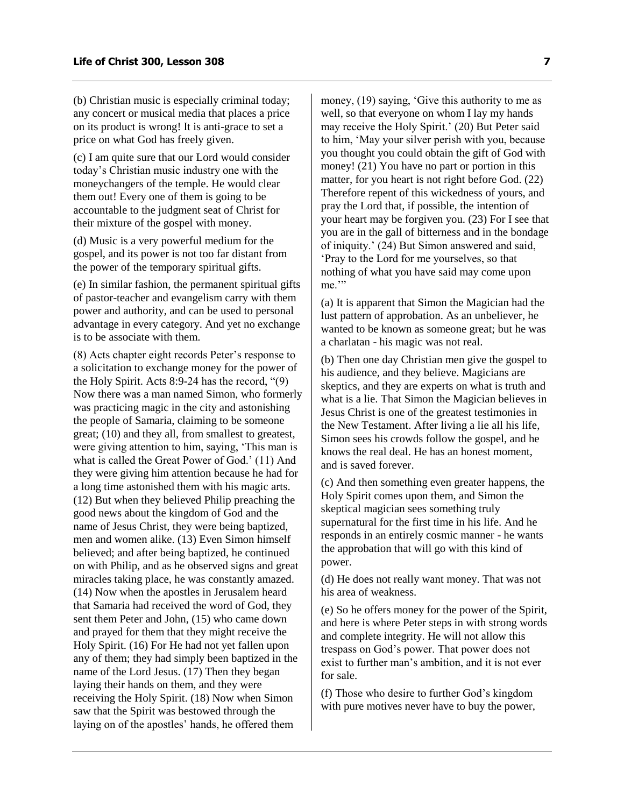(b) Christian music is especially criminal today; any concert or musical media that places a price on its product is wrong! It is anti-grace to set a price on what God has freely given.

(c) I am quite sure that our Lord would consider today's Christian music industry one with the moneychangers of the temple. He would clear them out! Every one of them is going to be accountable to the judgment seat of Christ for their mixture of the gospel with money.

(d) Music is a very powerful medium for the gospel, and its power is not too far distant from the power of the temporary spiritual gifts.

(e) In similar fashion, the permanent spiritual gifts of pastor-teacher and evangelism carry with them power and authority, and can be used to personal advantage in every category. And yet no exchange is to be associate with them.

(8) Acts chapter eight records Peter's response to a solicitation to exchange money for the power of the Holy Spirit. Acts 8:9-24 has the record, "(9) Now there was a man named Simon, who formerly was practicing magic in the city and astonishing the people of Samaria, claiming to be someone great; (10) and they all, from smallest to greatest, were giving attention to him, saying, 'This man is what is called the Great Power of God.' (11) And they were giving him attention because he had for a long time astonished them with his magic arts. (12) But when they believed Philip preaching the good news about the kingdom of God and the name of Jesus Christ, they were being baptized, men and women alike. (13) Even Simon himself believed; and after being baptized, he continued on with Philip, and as he observed signs and great miracles taking place, he was constantly amazed. (14) Now when the apostles in Jerusalem heard that Samaria had received the word of God, they sent them Peter and John, (15) who came down and prayed for them that they might receive the Holy Spirit. (16) For He had not yet fallen upon any of them; they had simply been baptized in the name of the Lord Jesus. (17) Then they began laying their hands on them, and they were receiving the Holy Spirit. (18) Now when Simon saw that the Spirit was bestowed through the laying on of the apostles' hands, he offered them

money, (19) saying, 'Give this authority to me as well, so that everyone on whom I lay my hands may receive the Holy Spirit.' (20) But Peter said to him, 'May your silver perish with you, because you thought you could obtain the gift of God with money! (21) You have no part or portion in this matter, for you heart is not right before God. (22) Therefore repent of this wickedness of yours, and pray the Lord that, if possible, the intention of your heart may be forgiven you. (23) For I see that you are in the gall of bitterness and in the bondage of iniquity.' (24) But Simon answered and said, 'Pray to the Lord for me yourselves, so that nothing of what you have said may come upon me."

(a) It is apparent that Simon the Magician had the lust pattern of approbation. As an unbeliever, he wanted to be known as someone great; but he was a charlatan - his magic was not real.

(b) Then one day Christian men give the gospel to his audience, and they believe. Magicians are skeptics, and they are experts on what is truth and what is a lie. That Simon the Magician believes in Jesus Christ is one of the greatest testimonies in the New Testament. After living a lie all his life, Simon sees his crowds follow the gospel, and he knows the real deal. He has an honest moment, and is saved forever.

(c) And then something even greater happens, the Holy Spirit comes upon them, and Simon the skeptical magician sees something truly supernatural for the first time in his life. And he responds in an entirely cosmic manner - he wants the approbation that will go with this kind of power.

(d) He does not really want money. That was not his area of weakness.

(e) So he offers money for the power of the Spirit, and here is where Peter steps in with strong words and complete integrity. He will not allow this trespass on God's power. That power does not exist to further man's ambition, and it is not ever for sale.

(f) Those who desire to further God's kingdom with pure motives never have to buy the power,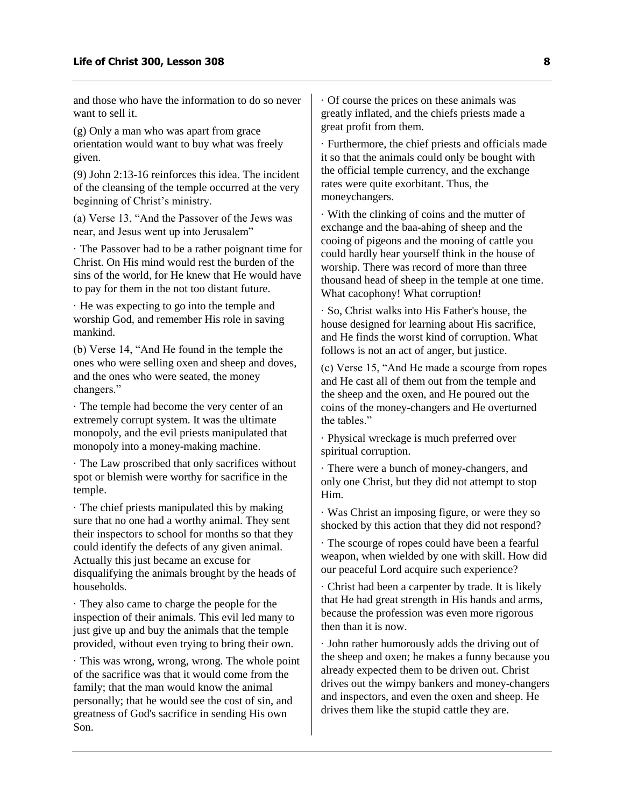and those who have the information to do so never want to sell it.

(g) Only a man who was apart from grace orientation would want to buy what was freely given.

(9) John 2:13-16 reinforces this idea. The incident of the cleansing of the temple occurred at the very beginning of Christ's ministry.

(a) Verse 13, "And the Passover of the Jews was near, and Jesus went up into Jerusalem"

· The Passover had to be a rather poignant time for Christ. On His mind would rest the burden of the sins of the world, for He knew that He would have to pay for them in the not too distant future.

· He was expecting to go into the temple and worship God, and remember His role in saving mankind.

(b) Verse 14, "And He found in the temple the ones who were selling oxen and sheep and doves, and the ones who were seated, the money changers."

· The temple had become the very center of an extremely corrupt system. It was the ultimate monopoly, and the evil priests manipulated that monopoly into a money-making machine.

· The Law proscribed that only sacrifices without spot or blemish were worthy for sacrifice in the temple.

· The chief priests manipulated this by making sure that no one had a worthy animal. They sent their inspectors to school for months so that they could identify the defects of any given animal. Actually this just became an excuse for disqualifying the animals brought by the heads of households.

· They also came to charge the people for the inspection of their animals. This evil led many to just give up and buy the animals that the temple provided, without even trying to bring their own.

· This was wrong, wrong, wrong. The whole point of the sacrifice was that it would come from the family; that the man would know the animal personally; that he would see the cost of sin, and greatness of God's sacrifice in sending His own Son.

· Of course the prices on these animals was greatly inflated, and the chiefs priests made a great profit from them.

· Furthermore, the chief priests and officials made it so that the animals could only be bought with the official temple currency, and the exchange rates were quite exorbitant. Thus, the moneychangers.

· With the clinking of coins and the mutter of exchange and the baa-ahing of sheep and the cooing of pigeons and the mooing of cattle you could hardly hear yourself think in the house of worship. There was record of more than three thousand head of sheep in the temple at one time. What cacophony! What corruption!

· So, Christ walks into His Father's house, the house designed for learning about His sacrifice, and He finds the worst kind of corruption. What follows is not an act of anger, but justice.

(c) Verse 15, "And He made a scourge from ropes and He cast all of them out from the temple and the sheep and the oxen, and He poured out the coins of the money-changers and He overturned the tables."

· Physical wreckage is much preferred over spiritual corruption.

· There were a bunch of money-changers, and only one Christ, but they did not attempt to stop Him.

· Was Christ an imposing figure, or were they so shocked by this action that they did not respond?

· The scourge of ropes could have been a fearful weapon, when wielded by one with skill. How did our peaceful Lord acquire such experience?

· Christ had been a carpenter by trade. It is likely that He had great strength in His hands and arms, because the profession was even more rigorous then than it is now.

· John rather humorously adds the driving out of the sheep and oxen; he makes a funny because you already expected them to be driven out. Christ drives out the wimpy bankers and money-changers and inspectors, and even the oxen and sheep. He drives them like the stupid cattle they are.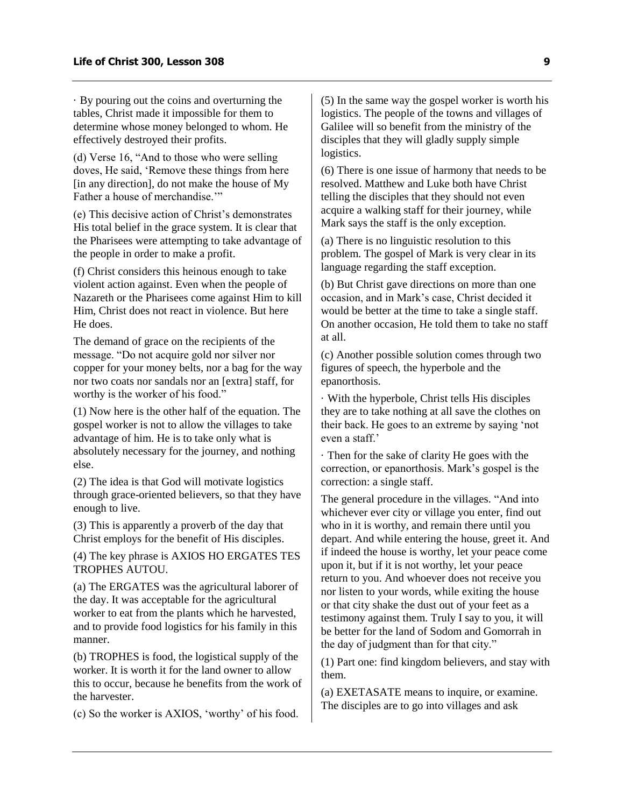· By pouring out the coins and overturning the tables, Christ made it impossible for them to determine whose money belonged to whom. He effectively destroyed their profits.

(d) Verse 16, "And to those who were selling doves, He said, 'Remove these things from here [in any direction], do not make the house of My Father a house of merchandise.'"

(e) This decisive action of Christ's demonstrates His total belief in the grace system. It is clear that the Pharisees were attempting to take advantage of the people in order to make a profit.

(f) Christ considers this heinous enough to take violent action against. Even when the people of Nazareth or the Pharisees come against Him to kill Him, Christ does not react in violence. But here He does.

The demand of grace on the recipients of the message. "Do not acquire gold nor silver nor copper for your money belts, nor a bag for the way nor two coats nor sandals nor an [extra] staff, for worthy is the worker of his food."

(1) Now here is the other half of the equation. The gospel worker is not to allow the villages to take advantage of him. He is to take only what is absolutely necessary for the journey, and nothing else.

(2) The idea is that God will motivate logistics through grace-oriented believers, so that they have enough to live.

(3) This is apparently a proverb of the day that Christ employs for the benefit of His disciples.

(4) The key phrase is AXIOS HO ERGATES TES TROPHES AUTOU.

(a) The ERGATES was the agricultural laborer of the day. It was acceptable for the agricultural worker to eat from the plants which he harvested, and to provide food logistics for his family in this manner.

(b) TROPHES is food, the logistical supply of the worker. It is worth it for the land owner to allow this to occur, because he benefits from the work of the harvester.

(c) So the worker is AXIOS, 'worthy' of his food.

(5) In the same way the gospel worker is worth his logistics. The people of the towns and villages of Galilee will so benefit from the ministry of the disciples that they will gladly supply simple logistics.

(6) There is one issue of harmony that needs to be resolved. Matthew and Luke both have Christ telling the disciples that they should not even acquire a walking staff for their journey, while Mark says the staff is the only exception.

(a) There is no linguistic resolution to this problem. The gospel of Mark is very clear in its language regarding the staff exception.

(b) But Christ gave directions on more than one occasion, and in Mark's case, Christ decided it would be better at the time to take a single staff. On another occasion, He told them to take no staff at all.

(c) Another possible solution comes through two figures of speech, the hyperbole and the epanorthosis.

· With the hyperbole, Christ tells His disciples they are to take nothing at all save the clothes on their back. He goes to an extreme by saying 'not even a staff.'

· Then for the sake of clarity He goes with the correction, or epanorthosis. Mark's gospel is the correction: a single staff.

The general procedure in the villages. "And into whichever ever city or village you enter, find out who in it is worthy, and remain there until you depart. And while entering the house, greet it. And if indeed the house is worthy, let your peace come upon it, but if it is not worthy, let your peace return to you. And whoever does not receive you nor listen to your words, while exiting the house or that city shake the dust out of your feet as a testimony against them. Truly I say to you, it will be better for the land of Sodom and Gomorrah in the day of judgment than for that city."

(1) Part one: find kingdom believers, and stay with them.

(a) EXETASATE means to inquire, or examine. The disciples are to go into villages and ask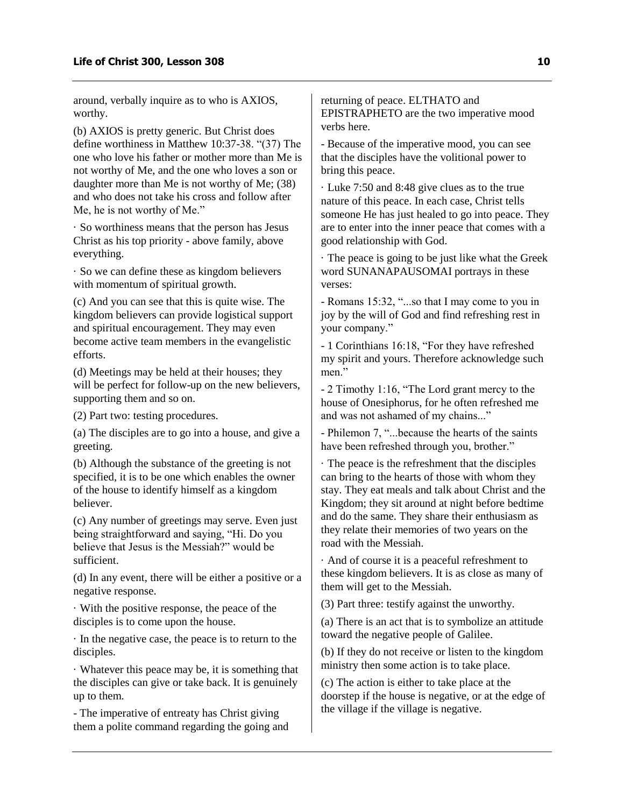around, verbally inquire as to who is AXIOS, worthy.

(b) AXIOS is pretty generic. But Christ does define worthiness in Matthew 10:37-38. "(37) The one who love his father or mother more than Me is not worthy of Me, and the one who loves a son or daughter more than Me is not worthy of Me; (38) and who does not take his cross and follow after Me, he is not worthy of Me."

· So worthiness means that the person has Jesus Christ as his top priority - above family, above everything.

· So we can define these as kingdom believers with momentum of spiritual growth.

(c) And you can see that this is quite wise. The kingdom believers can provide logistical support and spiritual encouragement. They may even become active team members in the evangelistic efforts.

(d) Meetings may be held at their houses; they will be perfect for follow-up on the new believers, supporting them and so on.

(2) Part two: testing procedures.

(a) The disciples are to go into a house, and give a greeting.

(b) Although the substance of the greeting is not specified, it is to be one which enables the owner of the house to identify himself as a kingdom believer.

(c) Any number of greetings may serve. Even just being straightforward and saying, "Hi. Do you believe that Jesus is the Messiah?" would be sufficient.

(d) In any event, there will be either a positive or a negative response.

· With the positive response, the peace of the disciples is to come upon the house.

· In the negative case, the peace is to return to the disciples.

· Whatever this peace may be, it is something that the disciples can give or take back. It is genuinely up to them.

- The imperative of entreaty has Christ giving them a polite command regarding the going and returning of peace. ELTHATO and EPISTRAPHETO are the two imperative mood verbs here.

- Because of the imperative mood, you can see that the disciples have the volitional power to bring this peace.

· Luke 7:50 and 8:48 give clues as to the true nature of this peace. In each case, Christ tells someone He has just healed to go into peace. They are to enter into the inner peace that comes with a good relationship with God.

· The peace is going to be just like what the Greek word SUNANAPAUSOMAI portrays in these verses:

- Romans 15:32, "...so that I may come to you in joy by the will of God and find refreshing rest in your company."

- 1 Corinthians 16:18, "For they have refreshed my spirit and yours. Therefore acknowledge such men."

- 2 Timothy 1:16, "The Lord grant mercy to the house of Onesiphorus, for he often refreshed me and was not ashamed of my chains..."

- Philemon 7, "...because the hearts of the saints have been refreshed through you, brother."

· The peace is the refreshment that the disciples can bring to the hearts of those with whom they stay. They eat meals and talk about Christ and the Kingdom; they sit around at night before bedtime and do the same. They share their enthusiasm as they relate their memories of two years on the road with the Messiah.

· And of course it is a peaceful refreshment to these kingdom believers. It is as close as many of them will get to the Messiah.

(3) Part three: testify against the unworthy.

(a) There is an act that is to symbolize an attitude toward the negative people of Galilee.

(b) If they do not receive or listen to the kingdom ministry then some action is to take place.

(c) The action is either to take place at the doorstep if the house is negative, or at the edge of the village if the village is negative.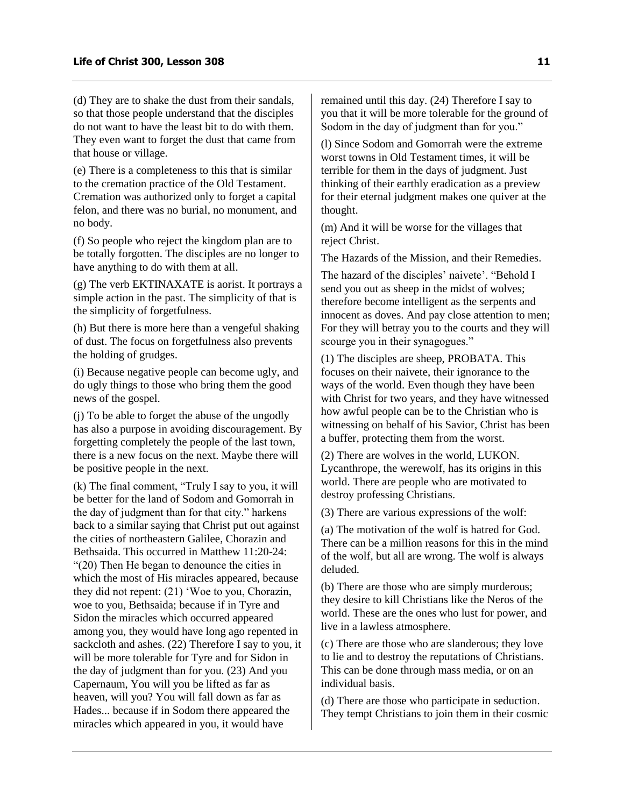(d) They are to shake the dust from their sandals, so that those people understand that the disciples do not want to have the least bit to do with them. They even want to forget the dust that came from that house or village.

(e) There is a completeness to this that is similar to the cremation practice of the Old Testament. Cremation was authorized only to forget a capital felon, and there was no burial, no monument, and no body.

(f) So people who reject the kingdom plan are to be totally forgotten. The disciples are no longer to have anything to do with them at all.

(g) The verb EKTINAXATE is aorist. It portrays a simple action in the past. The simplicity of that is the simplicity of forgetfulness.

(h) But there is more here than a vengeful shaking of dust. The focus on forgetfulness also prevents the holding of grudges.

(i) Because negative people can become ugly, and do ugly things to those who bring them the good news of the gospel.

(j) To be able to forget the abuse of the ungodly has also a purpose in avoiding discouragement. By forgetting completely the people of the last town, there is a new focus on the next. Maybe there will be positive people in the next.

(k) The final comment, "Truly I say to you, it will be better for the land of Sodom and Gomorrah in the day of judgment than for that city." harkens back to a similar saying that Christ put out against the cities of northeastern Galilee, Chorazin and Bethsaida. This occurred in Matthew 11:20-24: "(20) Then He began to denounce the cities in which the most of His miracles appeared, because they did not repent: (21) 'Woe to you, Chorazin, woe to you, Bethsaida; because if in Tyre and Sidon the miracles which occurred appeared among you, they would have long ago repented in sackcloth and ashes. (22) Therefore I say to you, it will be more tolerable for Tyre and for Sidon in the day of judgment than for you. (23) And you Capernaum, You will you be lifted as far as heaven, will you? You will fall down as far as Hades... because if in Sodom there appeared the miracles which appeared in you, it would have

remained until this day. (24) Therefore I say to you that it will be more tolerable for the ground of Sodom in the day of judgment than for you."

(l) Since Sodom and Gomorrah were the extreme worst towns in Old Testament times, it will be terrible for them in the days of judgment. Just thinking of their earthly eradication as a preview for their eternal judgment makes one quiver at the thought.

(m) And it will be worse for the villages that reject Christ.

The Hazards of the Mission, and their Remedies.

The hazard of the disciples' naivete'. "Behold I send you out as sheep in the midst of wolves; therefore become intelligent as the serpents and innocent as doves. And pay close attention to men; For they will betray you to the courts and they will scourge you in their synagogues."

(1) The disciples are sheep, PROBATA. This focuses on their naivete, their ignorance to the ways of the world. Even though they have been with Christ for two years, and they have witnessed how awful people can be to the Christian who is witnessing on behalf of his Savior, Christ has been a buffer, protecting them from the worst.

(2) There are wolves in the world, LUKON. Lycanthrope, the werewolf, has its origins in this world. There are people who are motivated to destroy professing Christians.

(3) There are various expressions of the wolf:

(a) The motivation of the wolf is hatred for God. There can be a million reasons for this in the mind of the wolf, but all are wrong. The wolf is always deluded.

(b) There are those who are simply murderous; they desire to kill Christians like the Neros of the world. These are the ones who lust for power, and live in a lawless atmosphere.

(c) There are those who are slanderous; they love to lie and to destroy the reputations of Christians. This can be done through mass media, or on an individual basis.

(d) There are those who participate in seduction. They tempt Christians to join them in their cosmic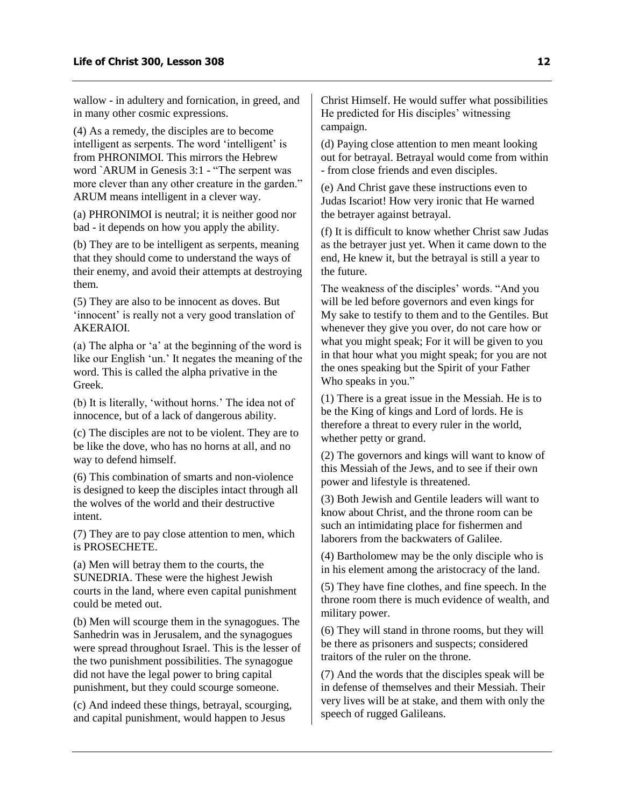wallow - in adultery and fornication, in greed, and in many other cosmic expressions.

(4) As a remedy, the disciples are to become intelligent as serpents. The word 'intelligent' is from PHRONIMOI. This mirrors the Hebrew word `ARUM in Genesis 3:1 - "The serpent was more clever than any other creature in the garden." ARUM means intelligent in a clever way.

(a) PHRONIMOI is neutral; it is neither good nor bad - it depends on how you apply the ability.

(b) They are to be intelligent as serpents, meaning that they should come to understand the ways of their enemy, and avoid their attempts at destroying them.

(5) They are also to be innocent as doves. But 'innocent' is really not a very good translation of AKERAIOI.

(a) The alpha or 'a' at the beginning of the word is like our English 'un.' It negates the meaning of the word. This is called the alpha privative in the Greek.

(b) It is literally, 'without horns.' The idea not of innocence, but of a lack of dangerous ability.

(c) The disciples are not to be violent. They are to be like the dove, who has no horns at all, and no way to defend himself.

(6) This combination of smarts and non-violence is designed to keep the disciples intact through all the wolves of the world and their destructive intent.

(7) They are to pay close attention to men, which is PROSECHETE.

(a) Men will betray them to the courts, the SUNEDRIA. These were the highest Jewish courts in the land, where even capital punishment could be meted out.

(b) Men will scourge them in the synagogues. The Sanhedrin was in Jerusalem, and the synagogues were spread throughout Israel. This is the lesser of the two punishment possibilities. The synagogue did not have the legal power to bring capital punishment, but they could scourge someone.

(c) And indeed these things, betrayal, scourging, and capital punishment, would happen to Jesus

Christ Himself. He would suffer what possibilities He predicted for His disciples' witnessing campaign.

(d) Paying close attention to men meant looking out for betrayal. Betrayal would come from within - from close friends and even disciples.

(e) And Christ gave these instructions even to Judas Iscariot! How very ironic that He warned the betrayer against betrayal.

(f) It is difficult to know whether Christ saw Judas as the betrayer just yet. When it came down to the end, He knew it, but the betrayal is still a year to the future.

The weakness of the disciples' words. "And you will be led before governors and even kings for My sake to testify to them and to the Gentiles. But whenever they give you over, do not care how or what you might speak; For it will be given to you in that hour what you might speak; for you are not the ones speaking but the Spirit of your Father Who speaks in you."

(1) There is a great issue in the Messiah. He is to be the King of kings and Lord of lords. He is therefore a threat to every ruler in the world, whether petty or grand.

(2) The governors and kings will want to know of this Messiah of the Jews, and to see if their own power and lifestyle is threatened.

(3) Both Jewish and Gentile leaders will want to know about Christ, and the throne room can be such an intimidating place for fishermen and laborers from the backwaters of Galilee.

(4) Bartholomew may be the only disciple who is in his element among the aristocracy of the land.

(5) They have fine clothes, and fine speech. In the throne room there is much evidence of wealth, and military power.

(6) They will stand in throne rooms, but they will be there as prisoners and suspects; considered traitors of the ruler on the throne.

(7) And the words that the disciples speak will be in defense of themselves and their Messiah. Their very lives will be at stake, and them with only the speech of rugged Galileans.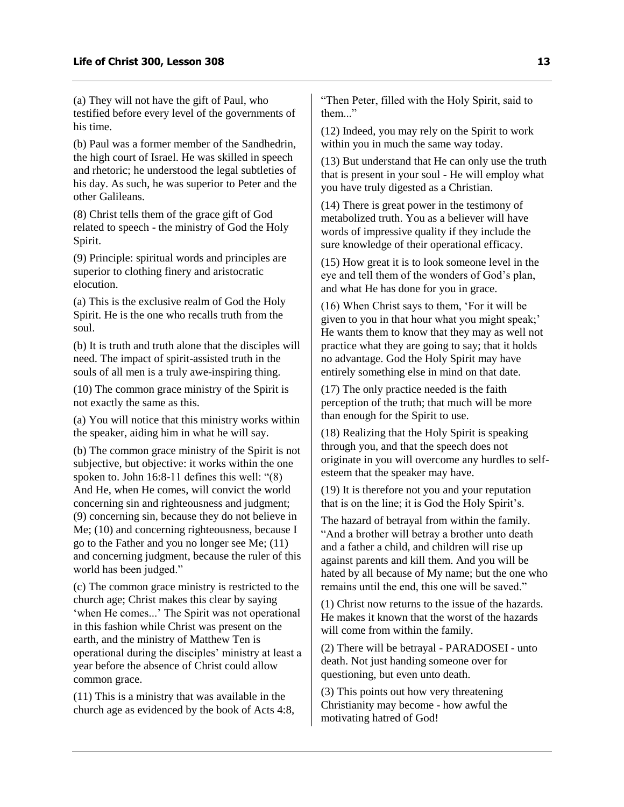(a) They will not have the gift of Paul, who testified before every level of the governments of his time.

(b) Paul was a former member of the Sandhedrin, the high court of Israel. He was skilled in speech and rhetoric; he understood the legal subtleties of his day. As such, he was superior to Peter and the other Galileans.

(8) Christ tells them of the grace gift of God related to speech - the ministry of God the Holy Spirit.

(9) Principle: spiritual words and principles are superior to clothing finery and aristocratic elocution.

(a) This is the exclusive realm of God the Holy Spirit. He is the one who recalls truth from the soul.

(b) It is truth and truth alone that the disciples will need. The impact of spirit-assisted truth in the souls of all men is a truly awe-inspiring thing.

(10) The common grace ministry of the Spirit is not exactly the same as this.

(a) You will notice that this ministry works within the speaker, aiding him in what he will say.

(b) The common grace ministry of the Spirit is not subjective, but objective: it works within the one spoken to. John 16:8-11 defines this well: "(8) And He, when He comes, will convict the world concerning sin and righteousness and judgment; (9) concerning sin, because they do not believe in Me; (10) and concerning righteousness, because I go to the Father and you no longer see Me; (11) and concerning judgment, because the ruler of this world has been judged."

(c) The common grace ministry is restricted to the church age; Christ makes this clear by saying 'when He comes...' The Spirit was not operational in this fashion while Christ was present on the earth, and the ministry of Matthew Ten is operational during the disciples' ministry at least a year before the absence of Christ could allow common grace.

(11) This is a ministry that was available in the church age as evidenced by the book of Acts 4:8, "Then Peter, filled with the Holy Spirit, said to them..."

(12) Indeed, you may rely on the Spirit to work within you in much the same way today.

(13) But understand that He can only use the truth that is present in your soul - He will employ what you have truly digested as a Christian.

(14) There is great power in the testimony of metabolized truth. You as a believer will have words of impressive quality if they include the sure knowledge of their operational efficacy.

(15) How great it is to look someone level in the eye and tell them of the wonders of God's plan, and what He has done for you in grace.

(16) When Christ says to them, 'For it will be given to you in that hour what you might speak;' He wants them to know that they may as well not practice what they are going to say; that it holds no advantage. God the Holy Spirit may have entirely something else in mind on that date.

(17) The only practice needed is the faith perception of the truth; that much will be more than enough for the Spirit to use.

(18) Realizing that the Holy Spirit is speaking through you, and that the speech does not originate in you will overcome any hurdles to selfesteem that the speaker may have.

(19) It is therefore not you and your reputation that is on the line; it is God the Holy Spirit's.

The hazard of betrayal from within the family. "And a brother will betray a brother unto death and a father a child, and children will rise up against parents and kill them. And you will be hated by all because of My name; but the one who remains until the end, this one will be saved."

(1) Christ now returns to the issue of the hazards. He makes it known that the worst of the hazards will come from within the family.

(2) There will be betrayal - PARADOSEI - unto death. Not just handing someone over for questioning, but even unto death.

(3) This points out how very threatening Christianity may become - how awful the motivating hatred of God!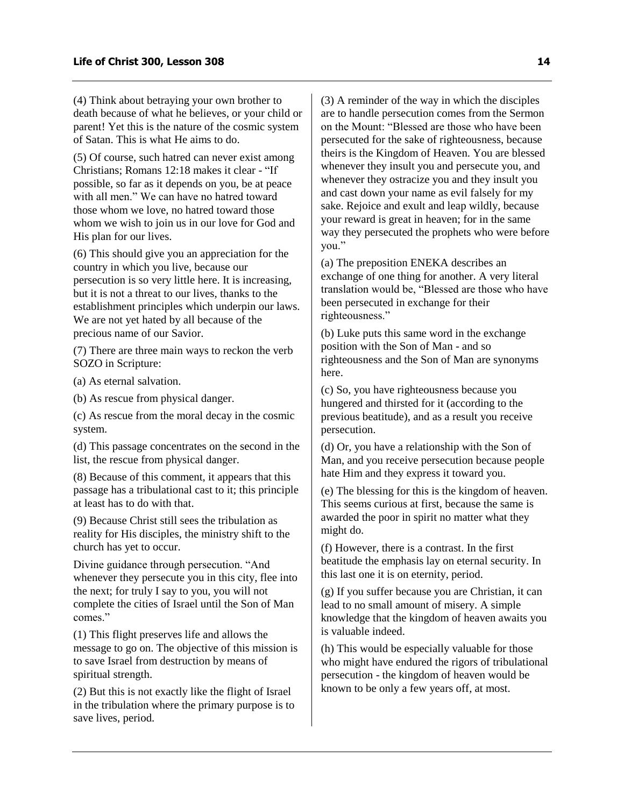(4) Think about betraying your own brother to death because of what he believes, or your child or parent! Yet this is the nature of the cosmic system of Satan. This is what He aims to do.

(5) Of course, such hatred can never exist among Christians; Romans 12:18 makes it clear - "If possible, so far as it depends on you, be at peace with all men." We can have no hatred toward those whom we love, no hatred toward those whom we wish to join us in our love for God and His plan for our lives.

(6) This should give you an appreciation for the country in which you live, because our persecution is so very little here. It is increasing, but it is not a threat to our lives, thanks to the establishment principles which underpin our laws. We are not yet hated by all because of the precious name of our Savior.

(7) There are three main ways to reckon the verb SOZO in Scripture:

(a) As eternal salvation.

(b) As rescue from physical danger.

(c) As rescue from the moral decay in the cosmic system.

(d) This passage concentrates on the second in the list, the rescue from physical danger.

(8) Because of this comment, it appears that this passage has a tribulational cast to it; this principle at least has to do with that.

(9) Because Christ still sees the tribulation as reality for His disciples, the ministry shift to the church has yet to occur.

Divine guidance through persecution. "And whenever they persecute you in this city, flee into the next; for truly I say to you, you will not complete the cities of Israel until the Son of Man comes."

(1) This flight preserves life and allows the message to go on. The objective of this mission is to save Israel from destruction by means of spiritual strength.

(2) But this is not exactly like the flight of Israel in the tribulation where the primary purpose is to save lives, period.

(3) A reminder of the way in which the disciples are to handle persecution comes from the Sermon on the Mount: "Blessed are those who have been persecuted for the sake of righteousness, because theirs is the Kingdom of Heaven. You are blessed whenever they insult you and persecute you, and whenever they ostracize you and they insult you and cast down your name as evil falsely for my sake. Rejoice and exult and leap wildly, because your reward is great in heaven; for in the same way they persecuted the prophets who were before you."

(a) The preposition ENEKA describes an exchange of one thing for another. A very literal translation would be, "Blessed are those who have been persecuted in exchange for their righteousness."

(b) Luke puts this same word in the exchange position with the Son of Man - and so righteousness and the Son of Man are synonyms here.

(c) So, you have righteousness because you hungered and thirsted for it (according to the previous beatitude), and as a result you receive persecution.

(d) Or, you have a relationship with the Son of Man, and you receive persecution because people hate Him and they express it toward you.

(e) The blessing for this is the kingdom of heaven. This seems curious at first, because the same is awarded the poor in spirit no matter what they might do.

(f) However, there is a contrast. In the first beatitude the emphasis lay on eternal security. In this last one it is on eternity, period.

(g) If you suffer because you are Christian, it can lead to no small amount of misery. A simple knowledge that the kingdom of heaven awaits you is valuable indeed.

(h) This would be especially valuable for those who might have endured the rigors of tribulational persecution - the kingdom of heaven would be known to be only a few years off, at most.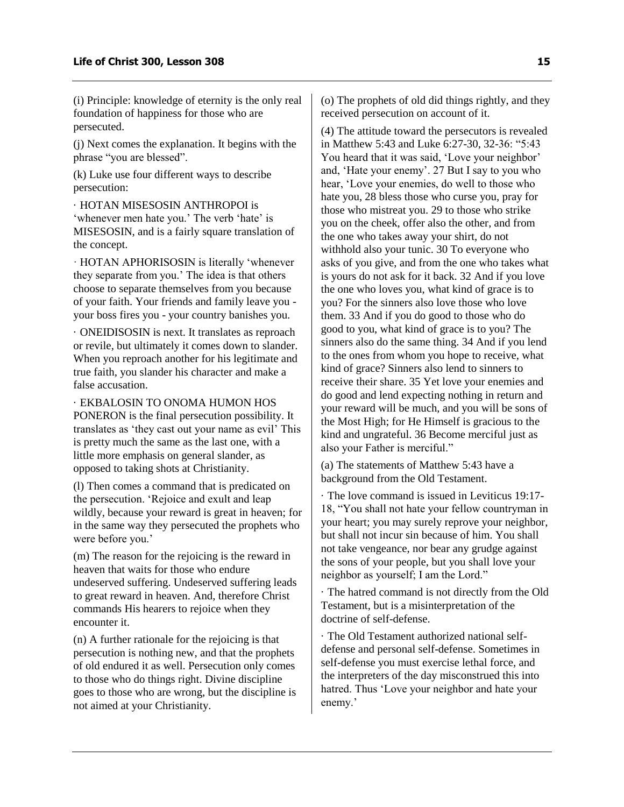(i) Principle: knowledge of eternity is the only real foundation of happiness for those who are persecuted.

(j) Next comes the explanation. It begins with the phrase "you are blessed".

(k) Luke use four different ways to describe persecution:

· HOTAN MISESOSIN ANTHROPOI is 'whenever men hate you.' The verb 'hate' is MISESOSIN, and is a fairly square translation of the concept.

· HOTAN APHORISOSIN is literally 'whenever they separate from you.' The idea is that others choose to separate themselves from you because of your faith. Your friends and family leave you your boss fires you - your country banishes you.

· ONEIDISOSIN is next. It translates as reproach or revile, but ultimately it comes down to slander. When you reproach another for his legitimate and true faith, you slander his character and make a false accusation.

· EKBALOSIN TO ONOMA HUMON HOS PONERON is the final persecution possibility. It translates as 'they cast out your name as evil' This is pretty much the same as the last one, with a little more emphasis on general slander, as opposed to taking shots at Christianity.

(l) Then comes a command that is predicated on the persecution. 'Rejoice and exult and leap wildly, because your reward is great in heaven; for in the same way they persecuted the prophets who were before you.'

(m) The reason for the rejoicing is the reward in heaven that waits for those who endure undeserved suffering. Undeserved suffering leads to great reward in heaven. And, therefore Christ commands His hearers to rejoice when they encounter it.

(n) A further rationale for the rejoicing is that persecution is nothing new, and that the prophets of old endured it as well. Persecution only comes to those who do things right. Divine discipline goes to those who are wrong, but the discipline is not aimed at your Christianity.

(o) The prophets of old did things rightly, and they received persecution on account of it.

(4) The attitude toward the persecutors is revealed in Matthew 5:43 and Luke 6:27-30, 32-36: "5:43 You heard that it was said, 'Love your neighbor' and, 'Hate your enemy'. 27 But I say to you who hear, 'Love your enemies, do well to those who hate you, 28 bless those who curse you, pray for those who mistreat you. 29 to those who strike you on the cheek, offer also the other, and from the one who takes away your shirt, do not withhold also your tunic. 30 To everyone who asks of you give, and from the one who takes what is yours do not ask for it back. 32 And if you love the one who loves you, what kind of grace is to you? For the sinners also love those who love them. 33 And if you do good to those who do good to you, what kind of grace is to you? The sinners also do the same thing. 34 And if you lend to the ones from whom you hope to receive, what kind of grace? Sinners also lend to sinners to receive their share. 35 Yet love your enemies and do good and lend expecting nothing in return and your reward will be much, and you will be sons of the Most High; for He Himself is gracious to the kind and ungrateful. 36 Become merciful just as also your Father is merciful."

(a) The statements of Matthew 5:43 have a background from the Old Testament.

· The love command is issued in Leviticus 19:17- 18, "You shall not hate your fellow countryman in your heart; you may surely reprove your neighbor, but shall not incur sin because of him. You shall not take vengeance, nor bear any grudge against the sons of your people, but you shall love your neighbor as yourself; I am the Lord."

· The hatred command is not directly from the Old Testament, but is a misinterpretation of the doctrine of self-defense.

· The Old Testament authorized national selfdefense and personal self-defense. Sometimes in self-defense you must exercise lethal force, and the interpreters of the day misconstrued this into hatred. Thus 'Love your neighbor and hate your enemy.'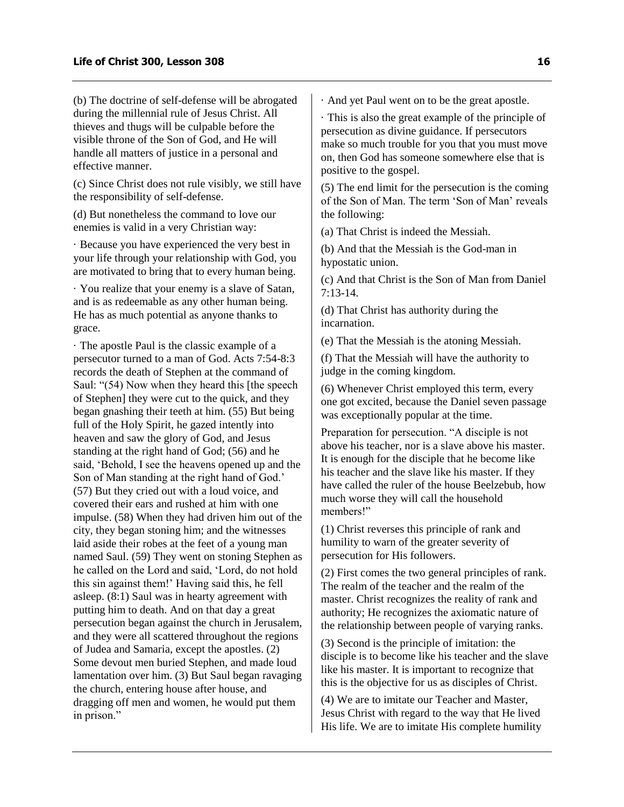(b) The doctrine of self-defense will be abrogated during the millennial rule of Jesus Christ. All thieves and thugs will be culpable before the visible throne of the Son of God, and He will handle all matters of justice in a personal and effective manner.

(c) Since Christ does not rule visibly, we still have the responsibility of self-defense.

(d) But nonetheless the command to love our enemies is valid in a very Christian way:

· Because you have experienced the very best in your life through your relationship with God, you are motivated to bring that to every human being.

· You realize that your enemy is a slave of Satan, and is as redeemable as any other human being. He has as much potential as anyone thanks to grace.

· The apostle Paul is the classic example of a persecutor turned to a man of God. Acts 7:54-8:3 records the death of Stephen at the command of Saul: "(54) Now when they heard this [the speech of Stephen] they were cut to the quick, and they began gnashing their teeth at him. (55) But being full of the Holy Spirit, he gazed intently into heaven and saw the glory of God, and Jesus standing at the right hand of God; (56) and he said, 'Behold, I see the heavens opened up and the Son of Man standing at the right hand of God.' (57) But they cried out with a loud voice, and covered their ears and rushed at him with one impulse. (58) When they had driven him out of the city, they began stoning him; and the witnesses laid aside their robes at the feet of a young man named Saul. (59) They went on stoning Stephen as he called on the Lord and said, 'Lord, do not hold this sin against them!' Having said this, he fell asleep. (8:1) Saul was in hearty agreement with putting him to death. And on that day a great persecution began against the church in Jerusalem, and they were all scattered throughout the regions of Judea and Samaria, except the apostles. (2) Some devout men buried Stephen, and made loud lamentation over him. (3) But Saul began ravaging the church, entering house after house, and dragging off men and women, he would put them in prison."

· And yet Paul went on to be the great apostle.

· This is also the great example of the principle of persecution as divine guidance. If persecutors make so much trouble for you that you must move on, then God has someone somewhere else that is positive to the gospel.

(5) The end limit for the persecution is the coming of the Son of Man. The term 'Son of Man' reveals the following:

(a) That Christ is indeed the Messiah.

(b) And that the Messiah is the God-man in hypostatic union.

(c) And that Christ is the Son of Man from Daniel 7:13-14.

(d) That Christ has authority during the incarnation.

(e) That the Messiah is the atoning Messiah.

(f) That the Messiah will have the authority to judge in the coming kingdom.

(6) Whenever Christ employed this term, every one got excited, because the Daniel seven passage was exceptionally popular at the time.

Preparation for persecution. "A disciple is not above his teacher, nor is a slave above his master. It is enough for the disciple that he become like his teacher and the slave like his master. If they have called the ruler of the house Beelzebub, how much worse they will call the household members!"

(1) Christ reverses this principle of rank and humility to warn of the greater severity of persecution for His followers.

(2) First comes the two general principles of rank. The realm of the teacher and the realm of the master. Christ recognizes the reality of rank and authority; He recognizes the axiomatic nature of the relationship between people of varying ranks.

(3) Second is the principle of imitation: the disciple is to become like his teacher and the slave like his master. It is important to recognize that this is the objective for us as disciples of Christ.

(4) We are to imitate our Teacher and Master, Jesus Christ with regard to the way that He lived His life. We are to imitate His complete humility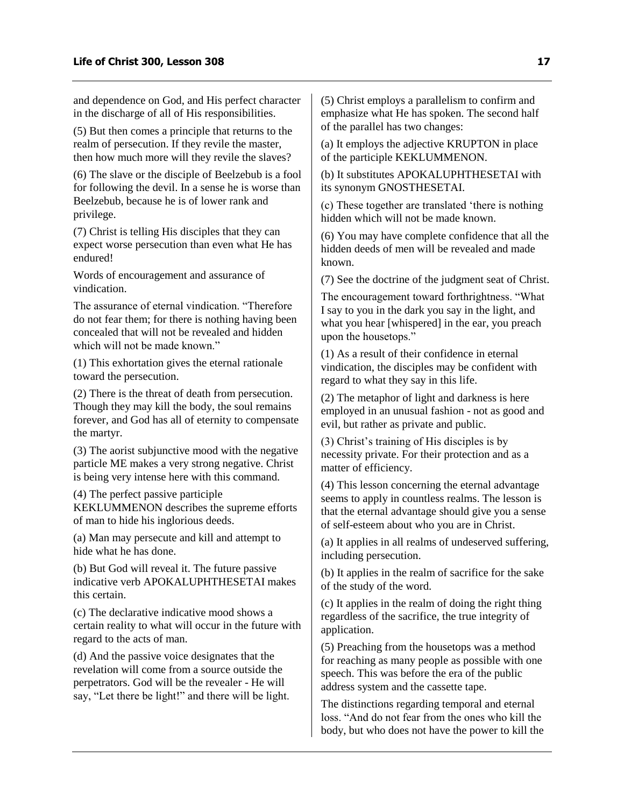and dependence on God, and His perfect character in the discharge of all of His responsibilities.

(5) But then comes a principle that returns to the realm of persecution. If they revile the master, then how much more will they revile the slaves?

(6) The slave or the disciple of Beelzebub is a fool for following the devil. In a sense he is worse than Beelzebub, because he is of lower rank and privilege.

(7) Christ is telling His disciples that they can expect worse persecution than even what He has endured!

Words of encouragement and assurance of vindication.

The assurance of eternal vindication. "Therefore do not fear them; for there is nothing having been concealed that will not be revealed and hidden which will not be made known."

(1) This exhortation gives the eternal rationale toward the persecution.

(2) There is the threat of death from persecution. Though they may kill the body, the soul remains forever, and God has all of eternity to compensate the martyr.

(3) The aorist subjunctive mood with the negative particle ME makes a very strong negative. Christ is being very intense here with this command.

(4) The perfect passive participle KEKLUMMENON describes the supreme efforts of man to hide his inglorious deeds.

(a) Man may persecute and kill and attempt to hide what he has done.

(b) But God will reveal it. The future passive indicative verb APOKALUPHTHESETAI makes this certain.

(c) The declarative indicative mood shows a certain reality to what will occur in the future with regard to the acts of man.

(d) And the passive voice designates that the revelation will come from a source outside the perpetrators. God will be the revealer - He will say, "Let there be light!" and there will be light. (5) Christ employs a parallelism to confirm and emphasize what He has spoken. The second half of the parallel has two changes:

(a) It employs the adjective KRUPTON in place of the participle KEKLUMMENON.

(b) It substitutes APOKALUPHTHESETAI with its synonym GNOSTHESETAI.

(c) These together are translated 'there is nothing hidden which will not be made known.

(6) You may have complete confidence that all the hidden deeds of men will be revealed and made known.

(7) See the doctrine of the judgment seat of Christ.

The encouragement toward forthrightness. "What I say to you in the dark you say in the light, and what you hear [whispered] in the ear, you preach upon the housetops."

(1) As a result of their confidence in eternal vindication, the disciples may be confident with regard to what they say in this life.

(2) The metaphor of light and darkness is here employed in an unusual fashion - not as good and evil, but rather as private and public.

(3) Christ's training of His disciples is by necessity private. For their protection and as a matter of efficiency.

(4) This lesson concerning the eternal advantage seems to apply in countless realms. The lesson is that the eternal advantage should give you a sense of self-esteem about who you are in Christ.

(a) It applies in all realms of undeserved suffering, including persecution.

(b) It applies in the realm of sacrifice for the sake of the study of the word.

(c) It applies in the realm of doing the right thing regardless of the sacrifice, the true integrity of application.

(5) Preaching from the housetops was a method for reaching as many people as possible with one speech. This was before the era of the public address system and the cassette tape.

The distinctions regarding temporal and eternal loss. "And do not fear from the ones who kill the body, but who does not have the power to kill the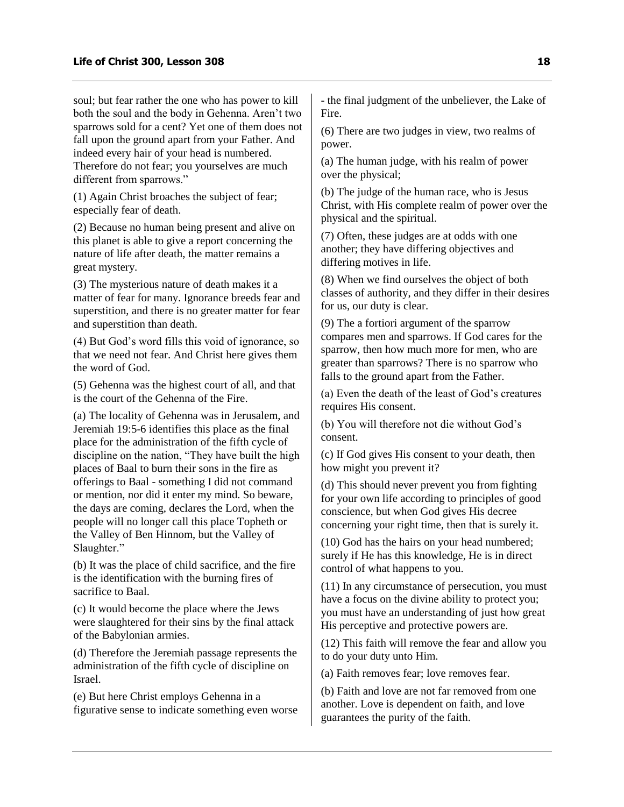soul; but fear rather the one who has power to kill both the soul and the body in Gehenna. Aren't two sparrows sold for a cent? Yet one of them does not fall upon the ground apart from your Father. And indeed every hair of your head is numbered. Therefore do not fear; you yourselves are much different from sparrows."

(1) Again Christ broaches the subject of fear; especially fear of death.

(2) Because no human being present and alive on this planet is able to give a report concerning the nature of life after death, the matter remains a great mystery.

(3) The mysterious nature of death makes it a matter of fear for many. Ignorance breeds fear and superstition, and there is no greater matter for fear and superstition than death.

(4) But God's word fills this void of ignorance, so that we need not fear. And Christ here gives them the word of God.

(5) Gehenna was the highest court of all, and that is the court of the Gehenna of the Fire.

(a) The locality of Gehenna was in Jerusalem, and Jeremiah 19:5-6 identifies this place as the final place for the administration of the fifth cycle of discipline on the nation, "They have built the high places of Baal to burn their sons in the fire as offerings to Baal - something I did not command or mention, nor did it enter my mind. So beware, the days are coming, declares the Lord, when the people will no longer call this place Topheth or the Valley of Ben Hinnom, but the Valley of Slaughter."

(b) It was the place of child sacrifice, and the fire is the identification with the burning fires of sacrifice to Baal.

(c) It would become the place where the Jews were slaughtered for their sins by the final attack of the Babylonian armies.

(d) Therefore the Jeremiah passage represents the administration of the fifth cycle of discipline on Israel.

(e) But here Christ employs Gehenna in a figurative sense to indicate something even worse - the final judgment of the unbeliever, the Lake of Fire.

(6) There are two judges in view, two realms of power.

(a) The human judge, with his realm of power over the physical;

(b) The judge of the human race, who is Jesus Christ, with His complete realm of power over the physical and the spiritual.

(7) Often, these judges are at odds with one another; they have differing objectives and differing motives in life.

(8) When we find ourselves the object of both classes of authority, and they differ in their desires for us, our duty is clear.

(9) The a fortiori argument of the sparrow compares men and sparrows. If God cares for the sparrow, then how much more for men, who are greater than sparrows? There is no sparrow who falls to the ground apart from the Father.

(a) Even the death of the least of God's creatures requires His consent.

(b) You will therefore not die without God's consent.

(c) If God gives His consent to your death, then how might you prevent it?

(d) This should never prevent you from fighting for your own life according to principles of good conscience, but when God gives His decree concerning your right time, then that is surely it.

(10) God has the hairs on your head numbered; surely if He has this knowledge, He is in direct control of what happens to you.

(11) In any circumstance of persecution, you must have a focus on the divine ability to protect you; you must have an understanding of just how great His perceptive and protective powers are.

(12) This faith will remove the fear and allow you to do your duty unto Him.

(a) Faith removes fear; love removes fear.

(b) Faith and love are not far removed from one another. Love is dependent on faith, and love guarantees the purity of the faith.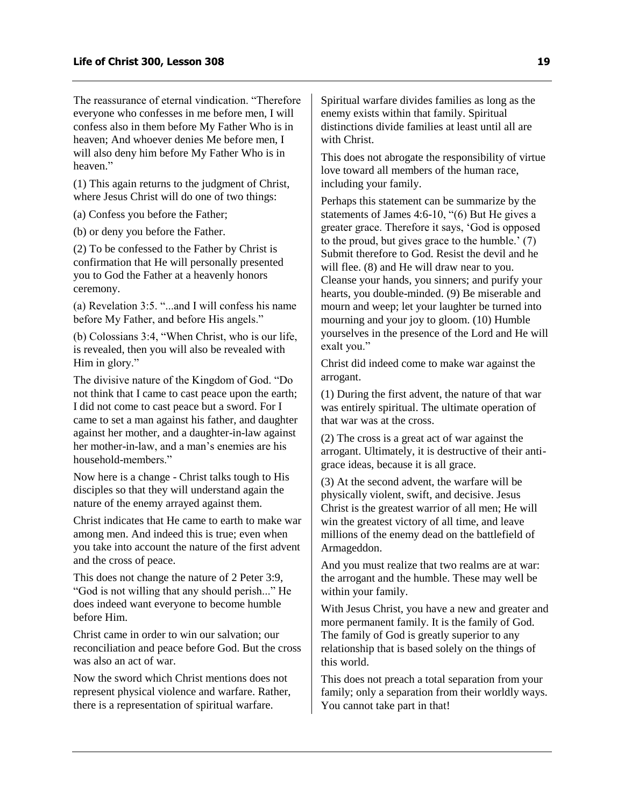The reassurance of eternal vindication. "Therefore everyone who confesses in me before men, I will confess also in them before My Father Who is in heaven; And whoever denies Me before men, I will also deny him before My Father Who is in heaven."

(1) This again returns to the judgment of Christ, where Jesus Christ will do one of two things:

(a) Confess you before the Father;

(b) or deny you before the Father.

(2) To be confessed to the Father by Christ is confirmation that He will personally presented you to God the Father at a heavenly honors ceremony.

(a) Revelation 3:5. "...and I will confess his name before My Father, and before His angels."

(b) Colossians 3:4, "When Christ, who is our life, is revealed, then you will also be revealed with Him in glory."

The divisive nature of the Kingdom of God. "Do not think that I came to cast peace upon the earth; I did not come to cast peace but a sword. For I came to set a man against his father, and daughter against her mother, and a daughter-in-law against her mother-in-law, and a man's enemies are his household-members."

Now here is a change - Christ talks tough to His disciples so that they will understand again the nature of the enemy arrayed against them.

Christ indicates that He came to earth to make war among men. And indeed this is true; even when you take into account the nature of the first advent and the cross of peace.

This does not change the nature of 2 Peter 3:9, "God is not willing that any should perish..." He does indeed want everyone to become humble before Him.

Christ came in order to win our salvation; our reconciliation and peace before God. But the cross was also an act of war.

Now the sword which Christ mentions does not represent physical violence and warfare. Rather, there is a representation of spiritual warfare.

Spiritual warfare divides families as long as the enemy exists within that family. Spiritual distinctions divide families at least until all are with Christ.

This does not abrogate the responsibility of virtue love toward all members of the human race, including your family.

Perhaps this statement can be summarize by the statements of James 4:6-10, "(6) But He gives a greater grace. Therefore it says, 'God is opposed to the proud, but gives grace to the humble.' (7) Submit therefore to God. Resist the devil and he will flee. (8) and He will draw near to you. Cleanse your hands, you sinners; and purify your hearts, you double-minded. (9) Be miserable and mourn and weep; let your laughter be turned into mourning and your joy to gloom. (10) Humble yourselves in the presence of the Lord and He will exalt you."

Christ did indeed come to make war against the arrogant.

(1) During the first advent, the nature of that war was entirely spiritual. The ultimate operation of that war was at the cross.

(2) The cross is a great act of war against the arrogant. Ultimately, it is destructive of their antigrace ideas, because it is all grace.

(3) At the second advent, the warfare will be physically violent, swift, and decisive. Jesus Christ is the greatest warrior of all men; He will win the greatest victory of all time, and leave millions of the enemy dead on the battlefield of Armageddon.

And you must realize that two realms are at war: the arrogant and the humble. These may well be within your family.

With Jesus Christ, you have a new and greater and more permanent family. It is the family of God. The family of God is greatly superior to any relationship that is based solely on the things of this world.

This does not preach a total separation from your family; only a separation from their worldly ways. You cannot take part in that!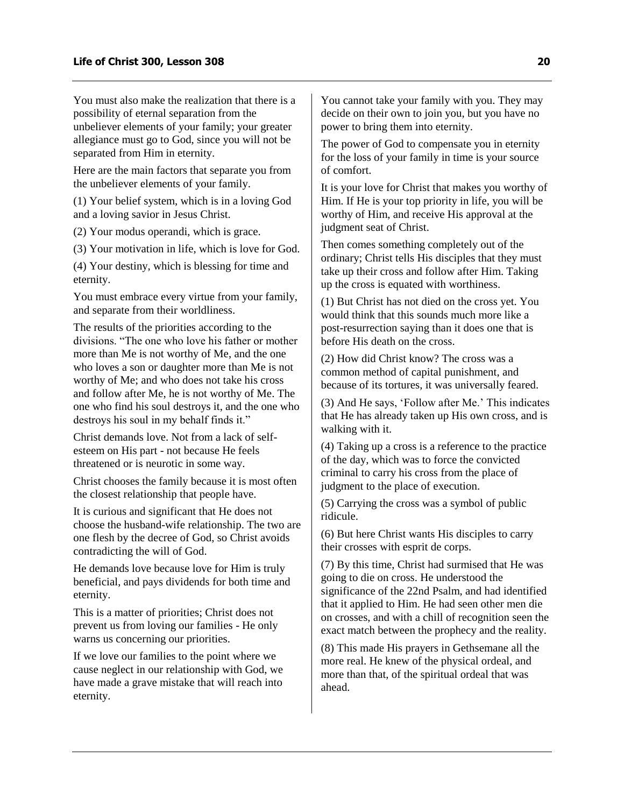You must also make the realization that there is a possibility of eternal separation from the unbeliever elements of your family; your greater allegiance must go to God, since you will not be separated from Him in eternity.

Here are the main factors that separate you from the unbeliever elements of your family.

(1) Your belief system, which is in a loving God and a loving savior in Jesus Christ.

(2) Your modus operandi, which is grace.

(3) Your motivation in life, which is love for God.

(4) Your destiny, which is blessing for time and eternity.

You must embrace every virtue from your family, and separate from their worldliness.

The results of the priorities according to the divisions. "The one who love his father or mother more than Me is not worthy of Me, and the one who loves a son or daughter more than Me is not worthy of Me; and who does not take his cross and follow after Me, he is not worthy of Me. The one who find his soul destroys it, and the one who destroys his soul in my behalf finds it."

Christ demands love. Not from a lack of selfesteem on His part - not because He feels threatened or is neurotic in some way.

Christ chooses the family because it is most often the closest relationship that people have.

It is curious and significant that He does not choose the husband-wife relationship. The two are one flesh by the decree of God, so Christ avoids contradicting the will of God.

He demands love because love for Him is truly beneficial, and pays dividends for both time and eternity.

This is a matter of priorities; Christ does not prevent us from loving our families - He only warns us concerning our priorities.

If we love our families to the point where we cause neglect in our relationship with God, we have made a grave mistake that will reach into eternity.

You cannot take your family with you. They may decide on their own to join you, but you have no power to bring them into eternity.

The power of God to compensate you in eternity for the loss of your family in time is your source of comfort.

It is your love for Christ that makes you worthy of Him. If He is your top priority in life, you will be worthy of Him, and receive His approval at the judgment seat of Christ.

Then comes something completely out of the ordinary; Christ tells His disciples that they must take up their cross and follow after Him. Taking up the cross is equated with worthiness.

(1) But Christ has not died on the cross yet. You would think that this sounds much more like a post-resurrection saying than it does one that is before His death on the cross.

(2) How did Christ know? The cross was a common method of capital punishment, and because of its tortures, it was universally feared.

(3) And He says, 'Follow after Me.' This indicates that He has already taken up His own cross, and is walking with it.

(4) Taking up a cross is a reference to the practice of the day, which was to force the convicted criminal to carry his cross from the place of judgment to the place of execution.

(5) Carrying the cross was a symbol of public ridicule.

(6) But here Christ wants His disciples to carry their crosses with esprit de corps.

(7) By this time, Christ had surmised that He was going to die on cross. He understood the significance of the 22nd Psalm, and had identified that it applied to Him. He had seen other men die on crosses, and with a chill of recognition seen the exact match between the prophecy and the reality.

(8) This made His prayers in Gethsemane all the more real. He knew of the physical ordeal, and more than that, of the spiritual ordeal that was ahead.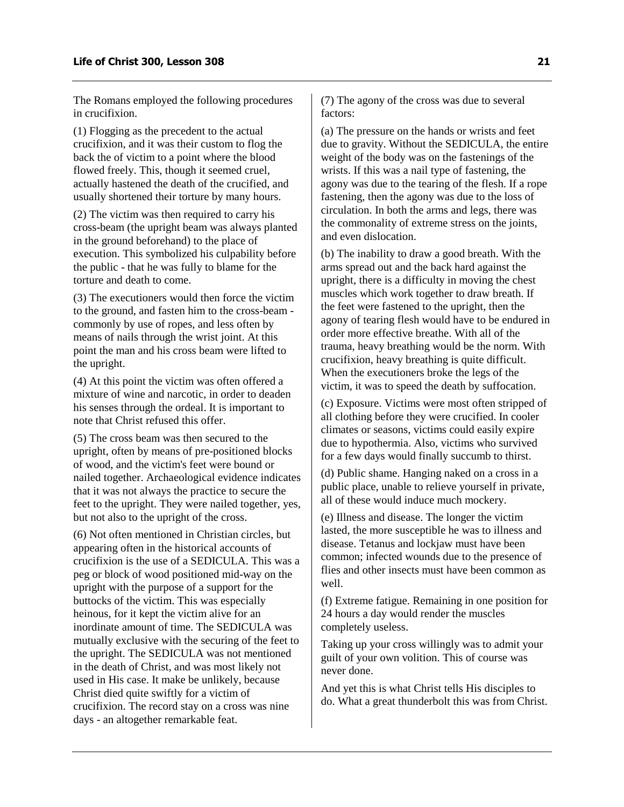The Romans employed the following procedures in crucifixion.

(1) Flogging as the precedent to the actual crucifixion, and it was their custom to flog the back the of victim to a point where the blood flowed freely. This, though it seemed cruel, actually hastened the death of the crucified, and usually shortened their torture by many hours.

(2) The victim was then required to carry his cross-beam (the upright beam was always planted in the ground beforehand) to the place of execution. This symbolized his culpability before the public - that he was fully to blame for the torture and death to come.

(3) The executioners would then force the victim to the ground, and fasten him to the cross-beam commonly by use of ropes, and less often by means of nails through the wrist joint. At this point the man and his cross beam were lifted to the upright.

(4) At this point the victim was often offered a mixture of wine and narcotic, in order to deaden his senses through the ordeal. It is important to note that Christ refused this offer.

(5) The cross beam was then secured to the upright, often by means of pre-positioned blocks of wood, and the victim's feet were bound or nailed together. Archaeological evidence indicates that it was not always the practice to secure the feet to the upright. They were nailed together, yes, but not also to the upright of the cross.

(6) Not often mentioned in Christian circles, but appearing often in the historical accounts of crucifixion is the use of a SEDICULA. This was a peg or block of wood positioned mid-way on the upright with the purpose of a support for the buttocks of the victim. This was especially heinous, for it kept the victim alive for an inordinate amount of time. The SEDICULA was mutually exclusive with the securing of the feet to the upright. The SEDICULA was not mentioned in the death of Christ, and was most likely not used in His case. It make be unlikely, because Christ died quite swiftly for a victim of crucifixion. The record stay on a cross was nine days - an altogether remarkable feat.

(7) The agony of the cross was due to several factors:

(a) The pressure on the hands or wrists and feet due to gravity. Without the SEDICULA, the entire weight of the body was on the fastenings of the wrists. If this was a nail type of fastening, the agony was due to the tearing of the flesh. If a rope fastening, then the agony was due to the loss of circulation. In both the arms and legs, there was the commonality of extreme stress on the joints, and even dislocation.

(b) The inability to draw a good breath. With the arms spread out and the back hard against the upright, there is a difficulty in moving the chest muscles which work together to draw breath. If the feet were fastened to the upright, then the agony of tearing flesh would have to be endured in order more effective breathe. With all of the trauma, heavy breathing would be the norm. With crucifixion, heavy breathing is quite difficult. When the executioners broke the legs of the victim, it was to speed the death by suffocation.

(c) Exposure. Victims were most often stripped of all clothing before they were crucified. In cooler climates or seasons, victims could easily expire due to hypothermia. Also, victims who survived for a few days would finally succumb to thirst.

(d) Public shame. Hanging naked on a cross in a public place, unable to relieve yourself in private, all of these would induce much mockery.

(e) Illness and disease. The longer the victim lasted, the more susceptible he was to illness and disease. Tetanus and lockjaw must have been common; infected wounds due to the presence of flies and other insects must have been common as well.

(f) Extreme fatigue. Remaining in one position for 24 hours a day would render the muscles completely useless.

Taking up your cross willingly was to admit your guilt of your own volition. This of course was never done.

And yet this is what Christ tells His disciples to do. What a great thunderbolt this was from Christ.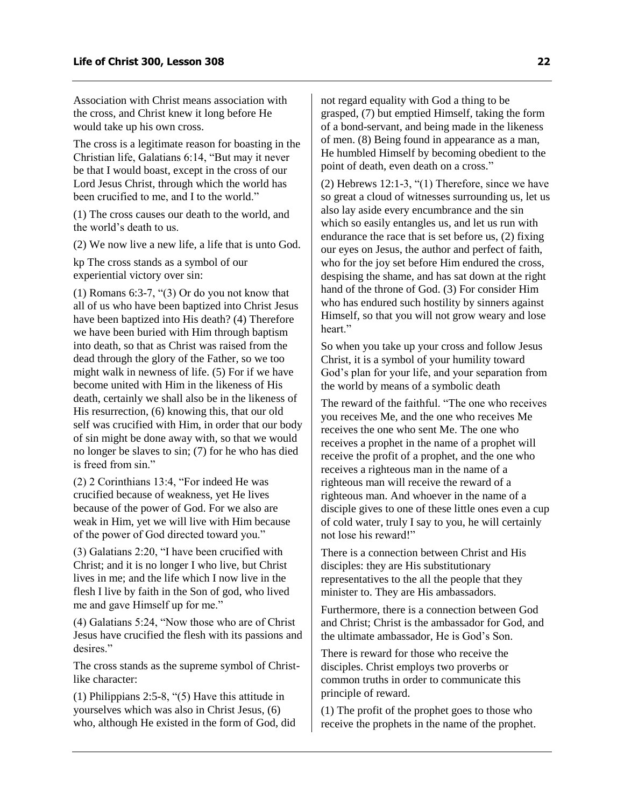Association with Christ means association with the cross, and Christ knew it long before He would take up his own cross.

The cross is a legitimate reason for boasting in the Christian life, Galatians 6:14, "But may it never be that I would boast, except in the cross of our Lord Jesus Christ, through which the world has been crucified to me, and I to the world."

(1) The cross causes our death to the world, and the world's death to us.

(2) We now live a new life, a life that is unto God.

kp The cross stands as a symbol of our experiential victory over sin:

(1) Romans 6:3-7, "(3) Or do you not know that all of us who have been baptized into Christ Jesus have been baptized into His death? (4) Therefore we have been buried with Him through baptism into death, so that as Christ was raised from the dead through the glory of the Father, so we too might walk in newness of life. (5) For if we have become united with Him in the likeness of His death, certainly we shall also be in the likeness of His resurrection, (6) knowing this, that our old self was crucified with Him, in order that our body of sin might be done away with, so that we would no longer be slaves to sin; (7) for he who has died is freed from sin."

(2) 2 Corinthians 13:4, "For indeed He was crucified because of weakness, yet He lives because of the power of God. For we also are weak in Him, yet we will live with Him because of the power of God directed toward you."

(3) Galatians 2:20, "I have been crucified with Christ; and it is no longer I who live, but Christ lives in me; and the life which I now live in the flesh I live by faith in the Son of god, who lived me and gave Himself up for me."

(4) Galatians 5:24, "Now those who are of Christ Jesus have crucified the flesh with its passions and desires."

The cross stands as the supreme symbol of Christlike character:

(1) Philippians 2:5-8, "(5) Have this attitude in yourselves which was also in Christ Jesus, (6) who, although He existed in the form of God, did not regard equality with God a thing to be grasped, (7) but emptied Himself, taking the form of a bond-servant, and being made in the likeness of men. (8) Being found in appearance as a man, He humbled Himself by becoming obedient to the point of death, even death on a cross."

(2) Hebrews 12:1-3, "(1) Therefore, since we have so great a cloud of witnesses surrounding us, let us also lay aside every encumbrance and the sin which so easily entangles us, and let us run with endurance the race that is set before us, (2) fixing our eyes on Jesus, the author and perfect of faith, who for the joy set before Him endured the cross, despising the shame, and has sat down at the right hand of the throne of God. (3) For consider Him who has endured such hostility by sinners against Himself, so that you will not grow weary and lose heart."

So when you take up your cross and follow Jesus Christ, it is a symbol of your humility toward God's plan for your life, and your separation from the world by means of a symbolic death

The reward of the faithful. "The one who receives you receives Me, and the one who receives Me receives the one who sent Me. The one who receives a prophet in the name of a prophet will receive the profit of a prophet, and the one who receives a righteous man in the name of a righteous man will receive the reward of a righteous man. And whoever in the name of a disciple gives to one of these little ones even a cup of cold water, truly I say to you, he will certainly not lose his reward!"

There is a connection between Christ and His disciples: they are His substitutionary representatives to the all the people that they minister to. They are His ambassadors.

Furthermore, there is a connection between God and Christ; Christ is the ambassador for God, and the ultimate ambassador, He is God's Son.

There is reward for those who receive the disciples. Christ employs two proverbs or common truths in order to communicate this principle of reward.

(1) The profit of the prophet goes to those who receive the prophets in the name of the prophet.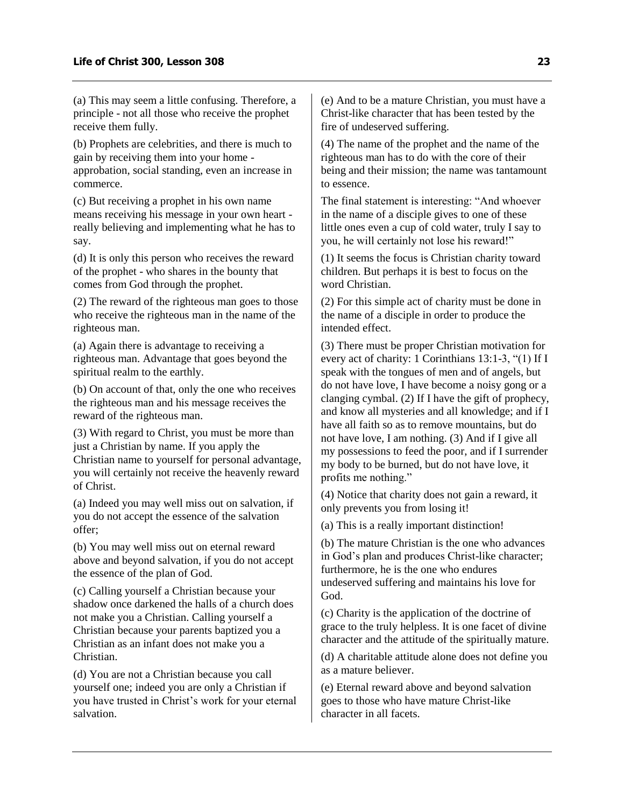(a) This may seem a little confusing. Therefore, a principle - not all those who receive the prophet receive them fully.

(b) Prophets are celebrities, and there is much to gain by receiving them into your home approbation, social standing, even an increase in commerce.

(c) But receiving a prophet in his own name means receiving his message in your own heart really believing and implementing what he has to say.

(d) It is only this person who receives the reward of the prophet - who shares in the bounty that comes from God through the prophet.

(2) The reward of the righteous man goes to those who receive the righteous man in the name of the righteous man.

(a) Again there is advantage to receiving a righteous man. Advantage that goes beyond the spiritual realm to the earthly.

(b) On account of that, only the one who receives the righteous man and his message receives the reward of the righteous man.

(3) With regard to Christ, you must be more than just a Christian by name. If you apply the Christian name to yourself for personal advantage, you will certainly not receive the heavenly reward of Christ.

(a) Indeed you may well miss out on salvation, if you do not accept the essence of the salvation offer;

(b) You may well miss out on eternal reward above and beyond salvation, if you do not accept the essence of the plan of God.

(c) Calling yourself a Christian because your shadow once darkened the halls of a church does not make you a Christian. Calling yourself a Christian because your parents baptized you a Christian as an infant does not make you a Christian.

(d) You are not a Christian because you call yourself one; indeed you are only a Christian if you have trusted in Christ's work for your eternal salvation.

(e) And to be a mature Christian, you must have a Christ-like character that has been tested by the fire of undeserved suffering.

(4) The name of the prophet and the name of the righteous man has to do with the core of their being and their mission; the name was tantamount to essence.

The final statement is interesting: "And whoever in the name of a disciple gives to one of these little ones even a cup of cold water, truly I say to you, he will certainly not lose his reward!"

(1) It seems the focus is Christian charity toward children. But perhaps it is best to focus on the word Christian.

(2) For this simple act of charity must be done in the name of a disciple in order to produce the intended effect.

(3) There must be proper Christian motivation for every act of charity: 1 Corinthians 13:1-3, "(1) If I speak with the tongues of men and of angels, but do not have love, I have become a noisy gong or a clanging cymbal. (2) If I have the gift of prophecy, and know all mysteries and all knowledge; and if I have all faith so as to remove mountains, but do not have love, I am nothing. (3) And if I give all my possessions to feed the poor, and if I surrender my body to be burned, but do not have love, it profits me nothing."

(4) Notice that charity does not gain a reward, it only prevents you from losing it!

(a) This is a really important distinction!

(b) The mature Christian is the one who advances in God's plan and produces Christ-like character; furthermore, he is the one who endures undeserved suffering and maintains his love for God.

(c) Charity is the application of the doctrine of grace to the truly helpless. It is one facet of divine character and the attitude of the spiritually mature.

(d) A charitable attitude alone does not define you as a mature believer.

(e) Eternal reward above and beyond salvation goes to those who have mature Christ-like character in all facets.